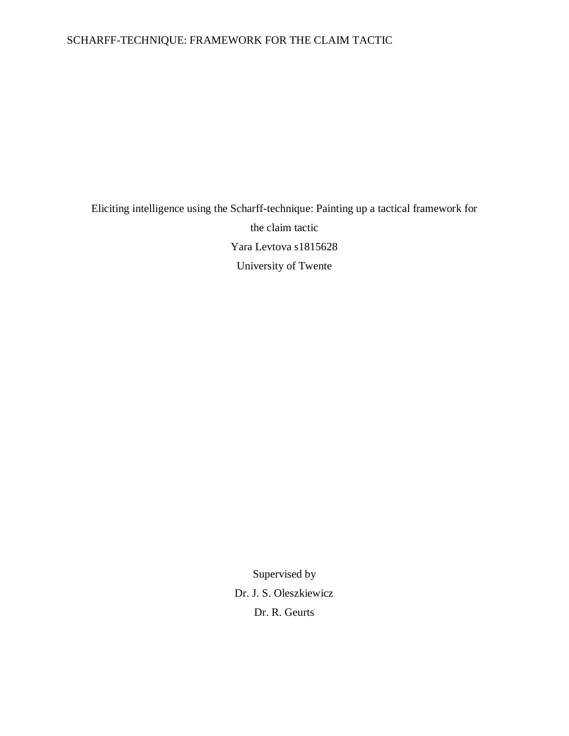# Eliciting intelligence using the Scharff-technique: Painting up a tactical framework for the claim tactic Yara Levtova s1815628 University of Twente

Supervised by Dr. J. S. Oleszkiewicz Dr. R. Geurts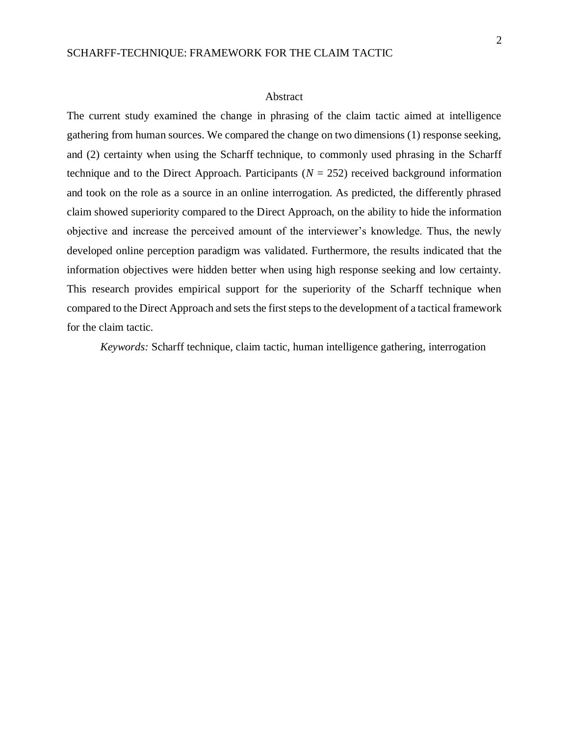#### Abstract

The current study examined the change in phrasing of the claim tactic aimed at intelligence gathering from human sources. We compared the change on two dimensions (1) response seeking, and (2) certainty when using the Scharff technique, to commonly used phrasing in the Scharff technique and to the Direct Approach. Participants  $(N = 252)$  received background information and took on the role as a source in an online interrogation. As predicted, the differently phrased claim showed superiority compared to the Direct Approach, on the ability to hide the information objective and increase the perceived amount of the interviewer's knowledge. Thus, the newly developed online perception paradigm was validated. Furthermore, the results indicated that the information objectives were hidden better when using high response seeking and low certainty. This research provides empirical support for the superiority of the Scharff technique when compared to the Direct Approach and sets the first steps to the development of a tactical framework for the claim tactic.

*Keywords:* Scharff technique, claim tactic, human intelligence gathering, interrogation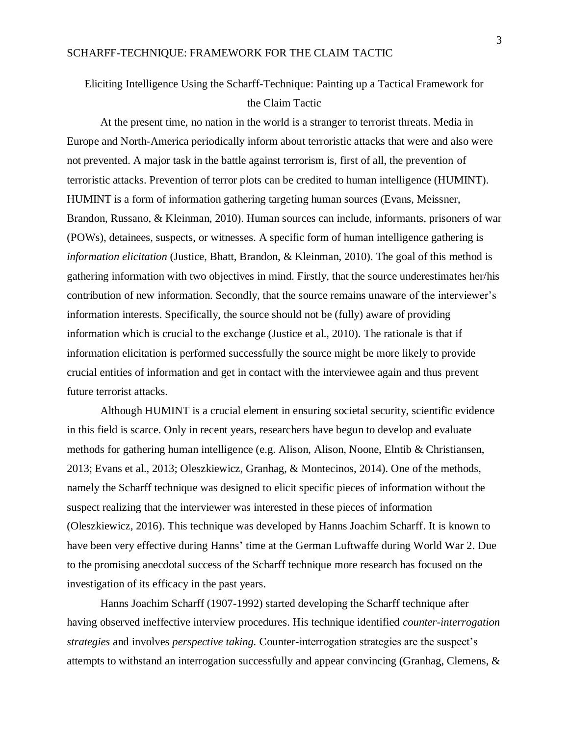# Eliciting Intelligence Using the Scharff-Technique: Painting up a Tactical Framework for the Claim Tactic

At the present time, no nation in the world is a stranger to terrorist threats. Media in Europe and North-America periodically inform about terroristic attacks that were and also were not prevented. A major task in the battle against terrorism is, first of all, the prevention of terroristic attacks. Prevention of terror plots can be credited to human intelligence (HUMINT). HUMINT is a form of information gathering targeting human sources (Evans, Meissner, Brandon, Russano, & Kleinman, 2010). Human sources can include, informants, prisoners of war (POWs), detainees, suspects, or witnesses. A specific form of human intelligence gathering is *information elicitation* (Justice, Bhatt, Brandon, & Kleinman, 2010). The goal of this method is gathering information with two objectives in mind. Firstly, that the source underestimates her/his contribution of new information. Secondly, that the source remains unaware of the interviewer's information interests. Specifically, the source should not be (fully) aware of providing information which is crucial to the exchange (Justice et al., 2010). The rationale is that if information elicitation is performed successfully the source might be more likely to provide crucial entities of information and get in contact with the interviewee again and thus prevent future terrorist attacks.

Although HUMINT is a crucial element in ensuring societal security, scientific evidence in this field is scarce. Only in recent years, researchers have begun to develop and evaluate methods for gathering human intelligence (e.g. Alison, Alison, Noone, Elntib & Christiansen, 2013; Evans et al., 2013; Oleszkiewicz, Granhag, & Montecinos, 2014). One of the methods, namely the Scharff technique was designed to elicit specific pieces of information without the suspect realizing that the interviewer was interested in these pieces of information (Oleszkiewicz, 2016). This technique was developed by Hanns Joachim Scharff. It is known to have been very effective during Hanns' time at the German Luftwaffe during World War 2. Due to the promising anecdotal success of the Scharff technique more research has focused on the investigation of its efficacy in the past years.

Hanns Joachim Scharff (1907-1992) started developing the Scharff technique after having observed ineffective interview procedures. His technique identified *counter-interrogation strategies* and involves *perspective taking.* Counter-interrogation strategies are the suspect's attempts to withstand an interrogation successfully and appear convincing (Granhag, Clemens, &

3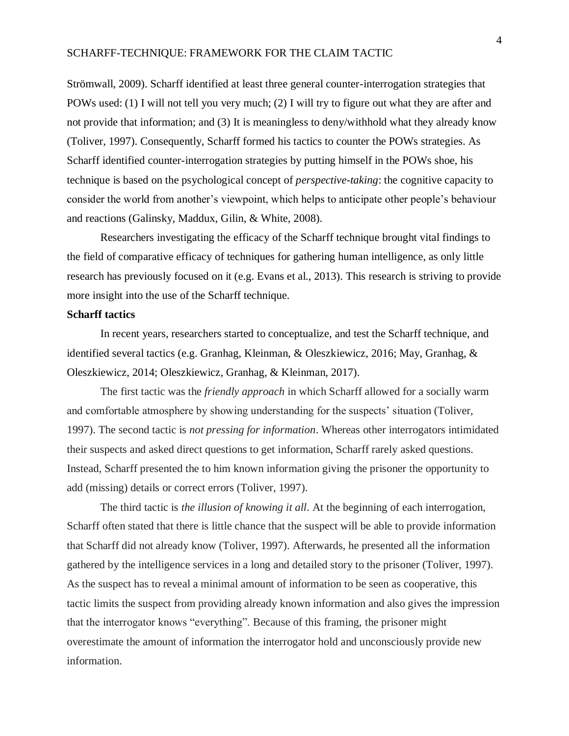Strömwall, 2009). Scharff identified at least three general counter-interrogation strategies that POWs used: (1) I will not tell you very much; (2) I will try to figure out what they are after and not provide that information; and (3) It is meaningless to deny/withhold what they already know (Toliver, 1997). Consequently, Scharff formed his tactics to counter the POWs strategies. As Scharff identified counter-interrogation strategies by putting himself in the POWs shoe, his technique is based on the psychological concept of *perspective-taking*: the cognitive capacity to consider the world from another's viewpoint, which helps to anticipate other people's behaviour and reactions (Galinsky, Maddux, Gilin, & White, 2008).

Researchers investigating the efficacy of the Scharff technique brought vital findings to the field of comparative efficacy of techniques for gathering human intelligence, as only little research has previously focused on it (e.g. Evans et al., 2013). This research is striving to provide more insight into the use of the Scharff technique.

#### **Scharff tactics**

In recent years, researchers started to conceptualize, and test the Scharff technique, and identified several tactics (e.g. Granhag, Kleinman, & Oleszkiewicz, 2016; May, Granhag, & Oleszkiewicz, 2014; Oleszkiewicz, Granhag, & Kleinman, 2017).

The first tactic was the *friendly approach* in which Scharff allowed for a socially warm and comfortable atmosphere by showing understanding for the suspects' situation (Toliver, 1997). The second tactic is *not pressing for information*. Whereas other interrogators intimidated their suspects and asked direct questions to get information, Scharff rarely asked questions. Instead, Scharff presented the to him known information giving the prisoner the opportunity to add (missing) details or correct errors (Toliver, 1997).

The third tactic is *the illusion of knowing it all*. At the beginning of each interrogation, Scharff often stated that there is little chance that the suspect will be able to provide information that Scharff did not already know (Toliver, 1997). Afterwards, he presented all the information gathered by the intelligence services in a long and detailed story to the prisoner (Toliver, 1997). As the suspect has to reveal a minimal amount of information to be seen as cooperative, this tactic limits the suspect from providing already known information and also gives the impression that the interrogator knows "everything". Because of this framing, the prisoner might overestimate the amount of information the interrogator hold and unconsciously provide new information.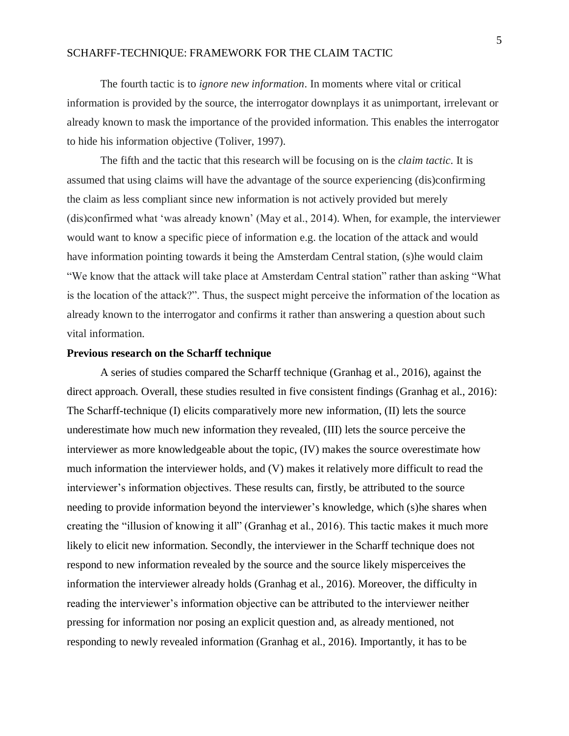The fourth tactic is to *ignore new information*. In moments where vital or critical information is provided by the source, the interrogator downplays it as unimportant, irrelevant or already known to mask the importance of the provided information. This enables the interrogator to hide his information objective (Toliver, 1997).

The fifth and the tactic that this research will be focusing on is the *claim tactic*. It is assumed that using claims will have the advantage of the source experiencing (dis)confirming the claim as less compliant since new information is not actively provided but merely (dis)confirmed what 'was already known' (May et al., 2014). When, for example, the interviewer would want to know a specific piece of information e.g. the location of the attack and would have information pointing towards it being the Amsterdam Central station, (s)he would claim "We know that the attack will take place at Amsterdam Central station" rather than asking "What is the location of the attack?". Thus, the suspect might perceive the information of the location as already known to the interrogator and confirms it rather than answering a question about such vital information.

#### **Previous research on the Scharff technique**

A series of studies compared the Scharff technique (Granhag et al., 2016), against the direct approach. Overall, these studies resulted in five consistent findings (Granhag et al., 2016): The Scharff-technique (I) elicits comparatively more new information, (II) lets the source underestimate how much new information they revealed, (III) lets the source perceive the interviewer as more knowledgeable about the topic, (IV) makes the source overestimate how much information the interviewer holds, and (V) makes it relatively more difficult to read the interviewer's information objectives. These results can, firstly, be attributed to the source needing to provide information beyond the interviewer's knowledge, which (s)he shares when creating the "illusion of knowing it all" (Granhag et al., 2016). This tactic makes it much more likely to elicit new information. Secondly, the interviewer in the Scharff technique does not respond to new information revealed by the source and the source likely misperceives the information the interviewer already holds (Granhag et al., 2016). Moreover, the difficulty in reading the interviewer's information objective can be attributed to the interviewer neither pressing for information nor posing an explicit question and, as already mentioned, not responding to newly revealed information (Granhag et al., 2016). Importantly, it has to be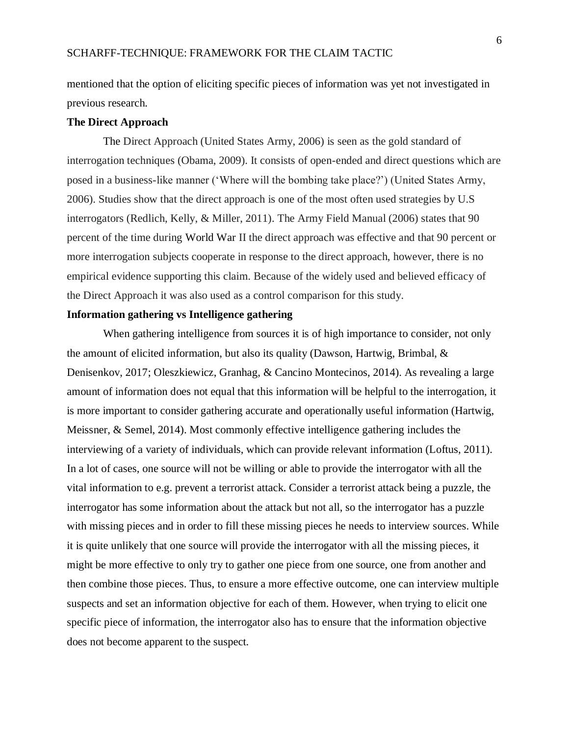mentioned that the option of eliciting specific pieces of information was yet not investigated in previous research.

## **The Direct Approach**

The Direct Approach (United States Army, 2006) is seen as the gold standard of interrogation techniques (Obama, 2009). It consists of open-ended and direct questions which are posed in a business-like manner ('Where will the bombing take place?') (United States Army, 2006). Studies show that the direct approach is one of the most often used strategies by U.S interrogators (Redlich, Kelly, & Miller, 2011). The Army Field Manual (2006) states that 90 percent of the time during World War II the direct approach was effective and that 90 percent or more interrogation subjects cooperate in response to the direct approach, however, there is no empirical evidence supporting this claim. Because of the widely used and believed efficacy of the Direct Approach it was also used as a control comparison for this study.

### **Information gathering vs Intelligence gathering**

When gathering intelligence from sources it is of high importance to consider, not only the amount of elicited information, but also its quality (Dawson, Hartwig, Brimbal, & Denisenkov, 2017; Oleszkiewicz, Granhag, & Cancino Montecinos, 2014). As revealing a large amount of information does not equal that this information will be helpful to the interrogation, it is more important to consider gathering accurate and operationally useful information (Hartwig, Meissner, & Semel, 2014). Most commonly effective intelligence gathering includes the interviewing of a variety of individuals, which can provide relevant information (Loftus, 2011). In a lot of cases, one source will not be willing or able to provide the interrogator with all the vital information to e.g. prevent a terrorist attack. Consider a terrorist attack being a puzzle, the interrogator has some information about the attack but not all, so the interrogator has a puzzle with missing pieces and in order to fill these missing pieces he needs to interview sources. While it is quite unlikely that one source will provide the interrogator with all the missing pieces, it might be more effective to only try to gather one piece from one source, one from another and then combine those pieces. Thus, to ensure a more effective outcome, one can interview multiple suspects and set an information objective for each of them. However, when trying to elicit one specific piece of information, the interrogator also has to ensure that the information objective does not become apparent to the suspect.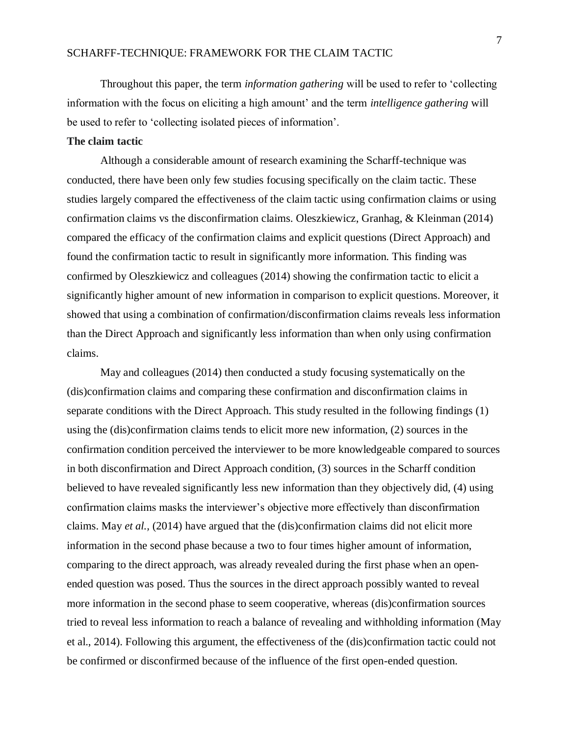Throughout this paper, the term *information gathering* will be used to refer to 'collecting information with the focus on eliciting a high amount' and the term *intelligence gathering* will be used to refer to 'collecting isolated pieces of information'.

## **The claim tactic**

Although a considerable amount of research examining the Scharff-technique was conducted, there have been only few studies focusing specifically on the claim tactic. These studies largely compared the effectiveness of the claim tactic using confirmation claims or using confirmation claims vs the disconfirmation claims. Oleszkiewicz, Granhag, & Kleinman (2014) compared the efficacy of the confirmation claims and explicit questions (Direct Approach) and found the confirmation tactic to result in significantly more information. This finding was confirmed by Oleszkiewicz and colleagues (2014) showing the confirmation tactic to elicit a significantly higher amount of new information in comparison to explicit questions. Moreover, it showed that using a combination of confirmation/disconfirmation claims reveals less information than the Direct Approach and significantly less information than when only using confirmation claims.

May and colleagues (2014) then conducted a study focusing systematically on the (dis)confirmation claims and comparing these confirmation and disconfirmation claims in separate conditions with the Direct Approach. This study resulted in the following findings (1) using the (dis)confirmation claims tends to elicit more new information, (2) sources in the confirmation condition perceived the interviewer to be more knowledgeable compared to sources in both disconfirmation and Direct Approach condition, (3) sources in the Scharff condition believed to have revealed significantly less new information than they objectively did, (4) using confirmation claims masks the interviewer's objective more effectively than disconfirmation claims. May *et al.,* (2014) have argued that the (dis)confirmation claims did not elicit more information in the second phase because a two to four times higher amount of information, comparing to the direct approach, was already revealed during the first phase when an openended question was posed. Thus the sources in the direct approach possibly wanted to reveal more information in the second phase to seem cooperative, whereas (dis)confirmation sources tried to reveal less information to reach a balance of revealing and withholding information (May et al., 2014). Following this argument, the effectiveness of the (dis)confirmation tactic could not be confirmed or disconfirmed because of the influence of the first open-ended question.

7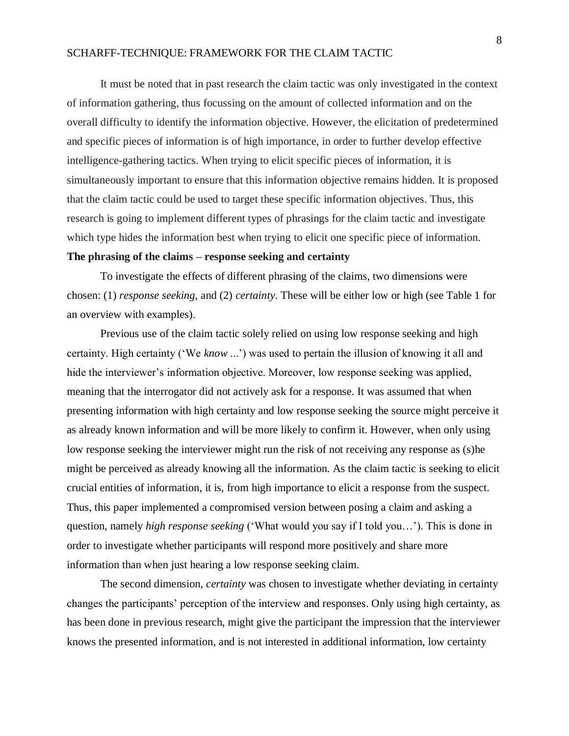It must be noted that in past research the claim tactic was only investigated in the context of information gathering, thus focussing on the amount of collected information and on the overall difficulty to identify the information objective. However, the elicitation of predetermined and specific pieces of information is of high importance, in order to further develop effective intelligence-gathering tactics. When trying to elicit specific pieces of information, it is simultaneously important to ensure that this information objective remains hidden. It is proposed that the claim tactic could be used to target these specific information objectives. Thus, this research is going to implement different types of phrasings for the claim tactic and investigate which type hides the information best when trying to elicit one specific piece of information.

## **The phrasing of the claims – response seeking and certainty**

To investigate the effects of different phrasing of the claims, two dimensions were chosen: (1) *response seeking*, and (2) *certainty*. These will be either low or high (see Table 1 for an overview with examples).

Previous use of the claim tactic solely relied on using low response seeking and high certainty. High certainty ('We *know* ...') was used to pertain the illusion of knowing it all and hide the interviewer's information objective. Moreover, low response seeking was applied, meaning that the interrogator did not actively ask for a response. It was assumed that when presenting information with high certainty and low response seeking the source might perceive it as already known information and will be more likely to confirm it. However, when only using low response seeking the interviewer might run the risk of not receiving any response as (s)he might be perceived as already knowing all the information. As the claim tactic is seeking to elicit crucial entities of information, it is, from high importance to elicit a response from the suspect. Thus, this paper implemented a compromised version between posing a claim and asking a question, namely *high response seeking* ('What would you say if I told you…'). This is done in order to investigate whether participants will respond more positively and share more information than when just hearing a low response seeking claim.

The second dimension, *certainty* was chosen to investigate whether deviating in certainty changes the participants' perception of the interview and responses. Only using high certainty, as has been done in previous research, might give the participant the impression that the interviewer knows the presented information, and is not interested in additional information, low certainty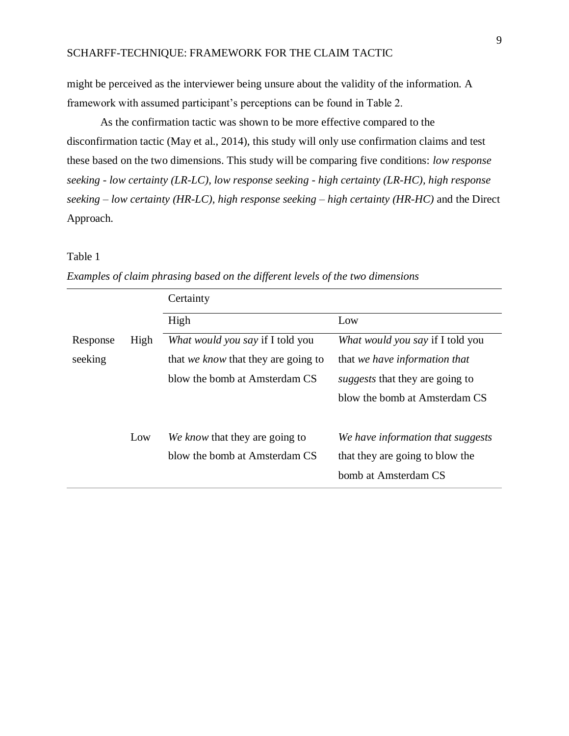might be perceived as the interviewer being unsure about the validity of the information. A framework with assumed participant's perceptions can be found in Table 2.

As the confirmation tactic was shown to be more effective compared to the disconfirmation tactic (May et al., 2014), this study will only use confirmation claims and test these based on the two dimensions. This study will be comparing five conditions: *low response seeking - low certainty (LR-LC), low response seeking - high certainty (LR-HC), high response seeking – low certainty (HR-LC), high response seeking – high certainty (HR-HC)* and the Direct Approach.

## Table 1

|          |      | Certainty                                  |                                        |
|----------|------|--------------------------------------------|----------------------------------------|
|          |      | High                                       | Low                                    |
| Response | High | What would you say if I told you           | What would you say if I told you       |
| seeking  |      | that <i>we know</i> that they are going to | that we have information that          |
|          |      | blow the bomb at Amsterdam CS              | <i>suggests</i> that they are going to |
|          |      |                                            | blow the bomb at Amsterdam CS          |
|          | Low  | We know that they are going to             | We have information that suggests      |
|          |      | blow the bomb at Amsterdam CS              | that they are going to blow the        |
|          |      |                                            | bomb at Amsterdam CS                   |

*Examples of claim phrasing based on the different levels of the two dimensions*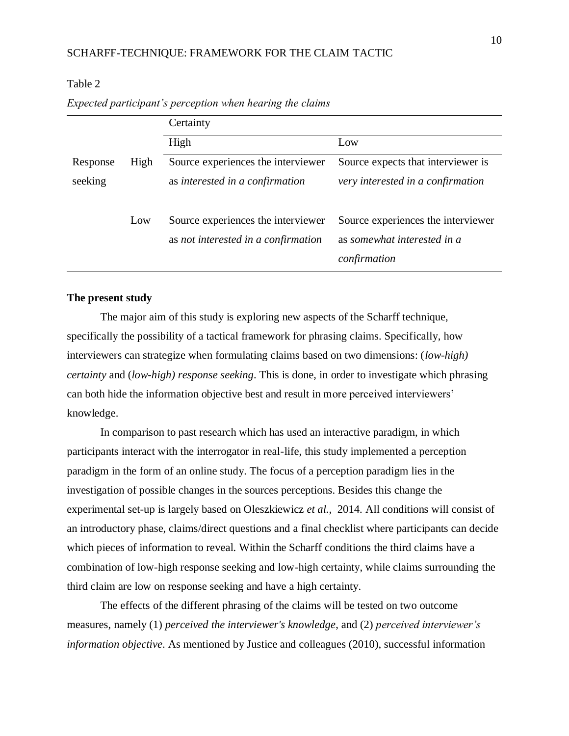|          |      | Certainty                                                                 |                                                                                   |
|----------|------|---------------------------------------------------------------------------|-----------------------------------------------------------------------------------|
|          |      | High                                                                      | Low                                                                               |
| Response | High | Source experiences the interviewer                                        | Source expects that interviewer is                                                |
| seeking  |      | as interested in a confirmation                                           | very interested in a confirmation                                                 |
|          | Low  | Source experiences the interviewer<br>as not interested in a confirmation | Source experiences the interviewer<br>as somewhat interested in a<br>confirmation |

*Expected participant's perception when hearing the claims* 

# **The present study**

Table 2

The major aim of this study is exploring new aspects of the Scharff technique, specifically the possibility of a tactical framework for phrasing claims. Specifically, how interviewers can strategize when formulating claims based on two dimensions: (*low-high) certainty* and (*low-high) response seeking*. This is done, in order to investigate which phrasing can both hide the information objective best and result in more perceived interviewers' knowledge.

In comparison to past research which has used an interactive paradigm, in which participants interact with the interrogator in real-life, this study implemented a perception paradigm in the form of an online study. The focus of a perception paradigm lies in the investigation of possible changes in the sources perceptions. Besides this change the experimental set-up is largely based on Oleszkiewicz *et al.,* 2014. All conditions will consist of an introductory phase, claims/direct questions and a final checklist where participants can decide which pieces of information to reveal. Within the Scharff conditions the third claims have a combination of low-high response seeking and low-high certainty, while claims surrounding the third claim are low on response seeking and have a high certainty.

The effects of the different phrasing of the claims will be tested on two outcome measures, namely (1) *perceived the interviewer's knowledge*, and (2) *perceived interviewer's information objective*. As mentioned by Justice and colleagues (2010), successful information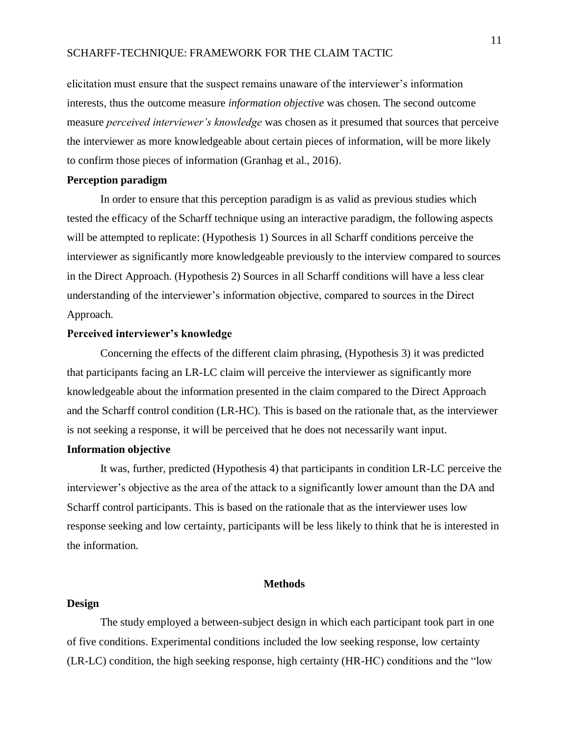elicitation must ensure that the suspect remains unaware of the interviewer's information interests, thus the outcome measure *information objective* was chosen. The second outcome measure *perceived interviewer's knowledge* was chosen as it presumed that sources that perceive the interviewer as more knowledgeable about certain pieces of information, will be more likely to confirm those pieces of information (Granhag et al., 2016).

#### **Perception paradigm**

In order to ensure that this perception paradigm is as valid as previous studies which tested the efficacy of the Scharff technique using an interactive paradigm, the following aspects will be attempted to replicate: (Hypothesis 1) Sources in all Scharff conditions perceive the interviewer as significantly more knowledgeable previously to the interview compared to sources in the Direct Approach. (Hypothesis 2) Sources in all Scharff conditions will have a less clear understanding of the interviewer's information objective, compared to sources in the Direct Approach.

## **Perceived interviewer's knowledge**

Concerning the effects of the different claim phrasing, (Hypothesis 3) it was predicted that participants facing an LR-LC claim will perceive the interviewer as significantly more knowledgeable about the information presented in the claim compared to the Direct Approach and the Scharff control condition (LR-HC). This is based on the rationale that, as the interviewer is not seeking a response, it will be perceived that he does not necessarily want input.

# **Information objective**

It was, further, predicted (Hypothesis 4) that participants in condition LR-LC perceive the interviewer's objective as the area of the attack to a significantly lower amount than the DA and Scharff control participants. This is based on the rationale that as the interviewer uses low response seeking and low certainty, participants will be less likely to think that he is interested in the information.

#### **Methods**

### **Design**

The study employed a between-subject design in which each participant took part in one of five conditions. Experimental conditions included the low seeking response, low certainty (LR-LC) condition, the high seeking response, high certainty (HR-HC) conditions and the "low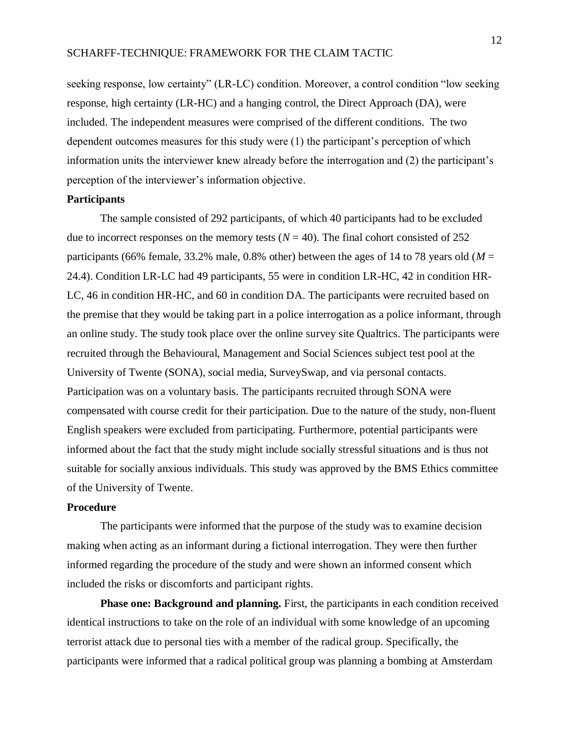seeking response, low certainty" (LR-LC) condition. Moreover, a control condition "low seeking response, high certainty (LR-HC) and a hanging control, the Direct Approach (DA), were included. The independent measures were comprised of the different conditions. The two dependent outcomes measures for this study were (1) the participant's perception of which information units the interviewer knew already before the interrogation and (2) the participant's perception of the interviewer's information objective.

#### **Participants**

The sample consisted of 292 participants, of which 40 participants had to be excluded due to incorrect responses on the memory tests  $(N = 40)$ . The final cohort consisted of 252 participants (66% female, 33.2% male, 0.8% other) between the ages of 14 to 78 years old ( $M =$ 24.4). Condition LR-LC had 49 participants, 55 were in condition LR-HC, 42 in condition HR-LC, 46 in condition HR-HC, and 60 in condition DA. The participants were recruited based on the premise that they would be taking part in a police interrogation as a police informant, through an online study. The study took place over the online survey site Qualtrics. The participants were recruited through the Behavioural, Management and Social Sciences subject test pool at the University of Twente (SONA), social media, SurveySwap, and via personal contacts. Participation was on a voluntary basis. The participants recruited through SONA were compensated with course credit for their participation. Due to the nature of the study, non-fluent English speakers were excluded from participating. Furthermore, potential participants were informed about the fact that the study might include socially stressful situations and is thus not suitable for socially anxious individuals. This study was approved by the BMS Ethics committee of the University of Twente.

#### **Procedure**

The participants were informed that the purpose of the study was to examine decision making when acting as an informant during a fictional interrogation. They were then further informed regarding the procedure of the study and were shown an informed consent which included the risks or discomforts and participant rights.

**Phase one: Background and planning.** First, the participants in each condition received identical instructions to take on the role of an individual with some knowledge of an upcoming terrorist attack due to personal ties with a member of the radical group. Specifically, the participants were informed that a radical political group was planning a bombing at Amsterdam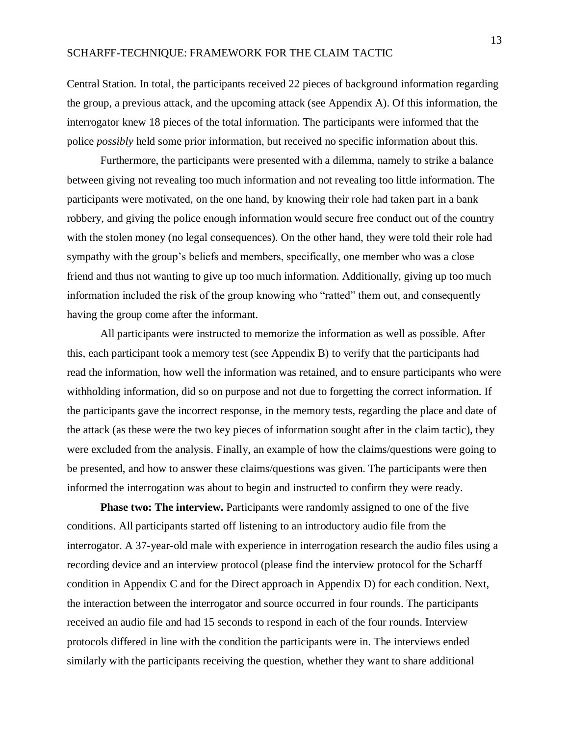Central Station. In total, the participants received 22 pieces of background information regarding the group, a previous attack, and the upcoming attack (see Appendix A). Of this information, the interrogator knew 18 pieces of the total information. The participants were informed that the police *possibly* held some prior information, but received no specific information about this.

 Furthermore, the participants were presented with a dilemma, namely to strike a balance between giving not revealing too much information and not revealing too little information. The participants were motivated, on the one hand, by knowing their role had taken part in a bank robbery, and giving the police enough information would secure free conduct out of the country with the stolen money (no legal consequences). On the other hand, they were told their role had sympathy with the group's beliefs and members, specifically, one member who was a close friend and thus not wanting to give up too much information. Additionally, giving up too much information included the risk of the group knowing who "ratted" them out, and consequently having the group come after the informant.

All participants were instructed to memorize the information as well as possible. After this, each participant took a memory test (see Appendix B) to verify that the participants had read the information, how well the information was retained, and to ensure participants who were withholding information, did so on purpose and not due to forgetting the correct information. If the participants gave the incorrect response, in the memory tests, regarding the place and date of the attack (as these were the two key pieces of information sought after in the claim tactic), they were excluded from the analysis. Finally, an example of how the claims/questions were going to be presented, and how to answer these claims/questions was given. The participants were then informed the interrogation was about to begin and instructed to confirm they were ready.

**Phase two: The interview.** Participants were randomly assigned to one of the five conditions. All participants started off listening to an introductory audio file from the interrogator. A 37-year-old male with experience in interrogation research the audio files using a recording device and an interview protocol (please find the interview protocol for the Scharff condition in Appendix C and for the Direct approach in Appendix D) for each condition. Next, the interaction between the interrogator and source occurred in four rounds. The participants received an audio file and had 15 seconds to respond in each of the four rounds. Interview protocols differed in line with the condition the participants were in. The interviews ended similarly with the participants receiving the question, whether they want to share additional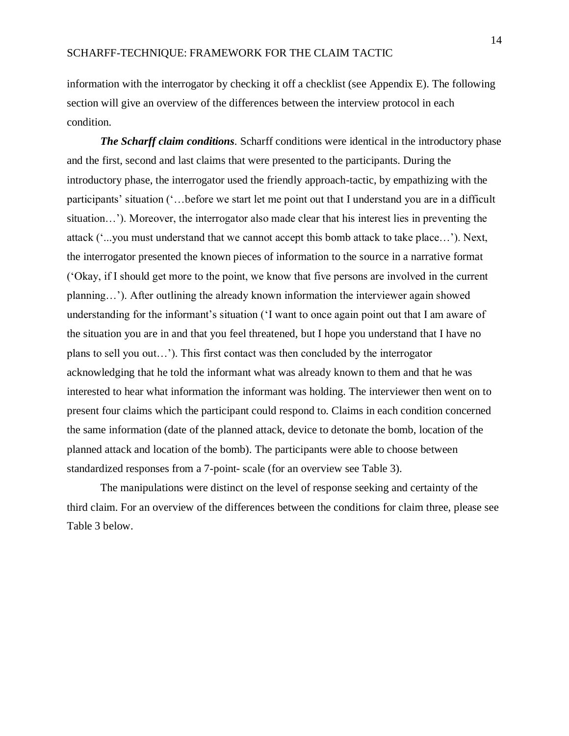information with the interrogator by checking it off a checklist (see Appendix E). The following section will give an overview of the differences between the interview protocol in each condition.

*The Scharff claim conditions.* Scharff conditions were identical in the introductory phase and the first, second and last claims that were presented to the participants. During the introductory phase, the interrogator used the friendly approach-tactic, by empathizing with the participants' situation ('…before we start let me point out that I understand you are in a difficult situation…'). Moreover, the interrogator also made clear that his interest lies in preventing the attack ('...you must understand that we cannot accept this bomb attack to take place…'). Next, the interrogator presented the known pieces of information to the source in a narrative format ('Okay, if I should get more to the point, we know that five persons are involved in the current planning…'). After outlining the already known information the interviewer again showed understanding for the informant's situation ('I want to once again point out that I am aware of the situation you are in and that you feel threatened, but I hope you understand that I have no plans to sell you out…'). This first contact was then concluded by the interrogator acknowledging that he told the informant what was already known to them and that he was interested to hear what information the informant was holding. The interviewer then went on to present four claims which the participant could respond to. Claims in each condition concerned the same information (date of the planned attack, device to detonate the bomb, location of the planned attack and location of the bomb). The participants were able to choose between standardized responses from a 7-point- scale (for an overview see Table 3).

The manipulations were distinct on the level of response seeking and certainty of the third claim. For an overview of the differences between the conditions for claim three, please see Table 3 below.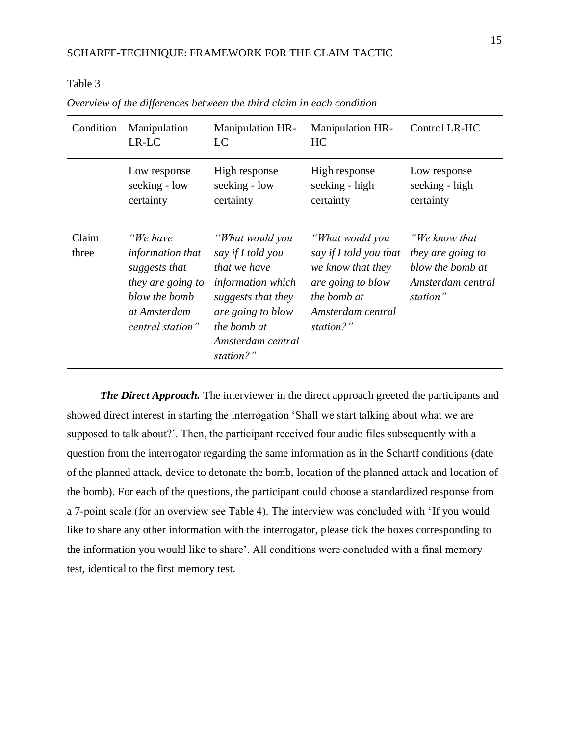# Table 3

| Condition      | Manipulation<br>LR-LC                                                                                                   | <b>Manipulation HR-</b><br>LC                                                                                                                                         | <b>Manipulation HR-</b><br>HС                                                                                                        | Control LR-HC                                                                           |
|----------------|-------------------------------------------------------------------------------------------------------------------------|-----------------------------------------------------------------------------------------------------------------------------------------------------------------------|--------------------------------------------------------------------------------------------------------------------------------------|-----------------------------------------------------------------------------------------|
|                | Low response<br>seeking - low<br>certainty                                                                              | High response<br>seeking - low<br>certainty                                                                                                                           | High response<br>seeking - high<br>certainty                                                                                         | Low response<br>seeking - high<br>certainty                                             |
| Claim<br>three | "We have<br>information that<br>suggests that<br>they are going to<br>blow the bomb<br>at Amsterdam<br>central station" | "What would you<br>say if I told you<br>that we have<br>information which<br>suggests that they<br>are going to blow<br>the bomb at<br>Amsterdam central<br>station?" | "What would you<br>say if I told you that<br>we know that they<br>are going to blow<br>the bomb at<br>Amsterdam central<br>station?" | "We know that<br>they are going to<br>blow the bomb at<br>Amsterdam central<br>station" |

*Overview of the differences between the third claim in each condition*

*The Direct Approach.* The interviewer in the direct approach greeted the participants and showed direct interest in starting the interrogation 'Shall we start talking about what we are supposed to talk about?'. Then, the participant received four audio files subsequently with a question from the interrogator regarding the same information as in the Scharff conditions (date of the planned attack, device to detonate the bomb, location of the planned attack and location of the bomb). For each of the questions, the participant could choose a standardized response from a 7-point scale (for an overview see Table 4). The interview was concluded with 'If you would like to share any other information with the interrogator, please tick the boxes corresponding to the information you would like to share'. All conditions were concluded with a final memory test, identical to the first memory test.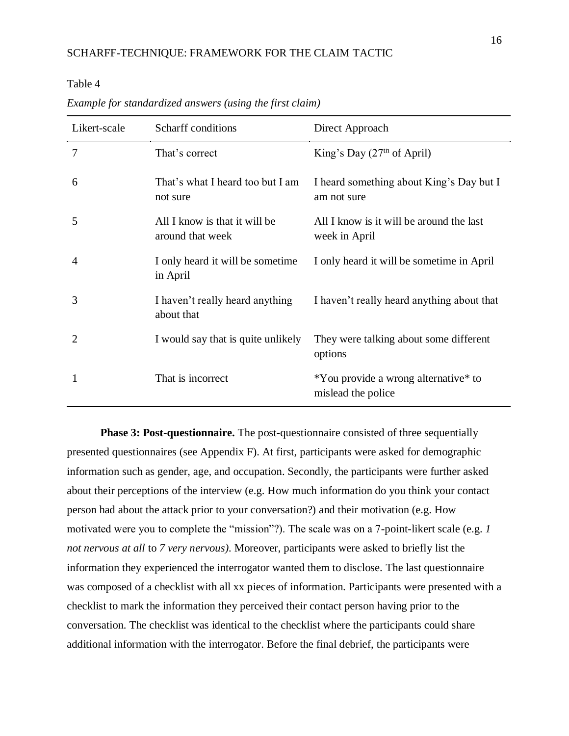Table 4

| Likert-scale | Scharff conditions                                | Direct Approach                                            |
|--------------|---------------------------------------------------|------------------------------------------------------------|
| 7            | That's correct                                    | King's Day $(27th$ of April)                               |
| 6            | That's what I heard too but I am<br>not sure      | I heard something about King's Day but I<br>am not sure    |
| 5            | All I know is that it will be<br>around that week | All I know is it will be around the last<br>week in April  |
| 4            | I only heard it will be sometime<br>in April      | I only heard it will be sometime in April                  |
| 3            | I haven't really heard anything<br>about that     | I haven't really heard anything about that                 |
| 2            | I would say that is quite unlikely                | They were talking about some different<br>options          |
| 1            | That is incorrect                                 | *You provide a wrong alternative* to<br>mislead the police |

*Example for standardized answers (using the first claim)*

**Phase 3: Post-questionnaire.** The post-questionnaire consisted of three sequentially presented questionnaires (see Appendix F). At first, participants were asked for demographic information such as gender, age, and occupation. Secondly, the participants were further asked about their perceptions of the interview (e.g. How much information do you think your contact person had about the attack prior to your conversation?) and their motivation (e.g. How motivated were you to complete the "mission"?). The scale was on a 7-point-likert scale (e.g. *1 not nervous at all* to *7 very nervous).* Moreover, participants were asked to briefly list the information they experienced the interrogator wanted them to disclose. The last questionnaire was composed of a checklist with all xx pieces of information. Participants were presented with a checklist to mark the information they perceived their contact person having prior to the conversation. The checklist was identical to the checklist where the participants could share additional information with the interrogator. Before the final debrief, the participants were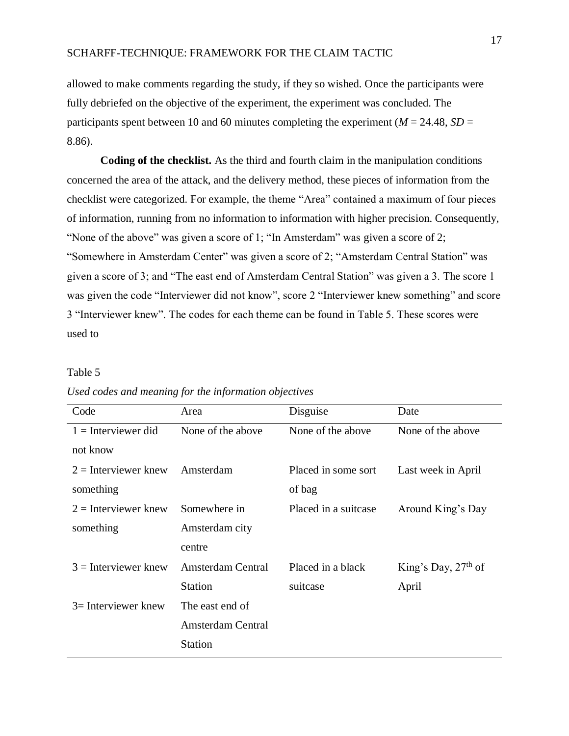allowed to make comments regarding the study, if they so wished. Once the participants were fully debriefed on the objective of the experiment, the experiment was concluded. The participants spent between 10 and 60 minutes completing the experiment ( $M = 24.48$ ,  $SD =$ 8.86).

**Coding of the checklist.** As the third and fourth claim in the manipulation conditions concerned the area of the attack, and the delivery method, these pieces of information from the checklist were categorized. For example, the theme "Area" contained a maximum of four pieces of information, running from no information to information with higher precision. Consequently, "None of the above" was given a score of 1; "In Amsterdam" was given a score of 2; "Somewhere in Amsterdam Center" was given a score of 2; "Amsterdam Central Station" was given a score of 3; and "The east end of Amsterdam Central Station" was given a 3. The score 1 was given the code "Interviewer did not know", score 2 "Interviewer knew something" and score 3 "Interviewer knew". The codes for each theme can be found in Table 5. These scores were used to

#### Table 5

| Disguise             | Date                                                                                                                                        |
|----------------------|---------------------------------------------------------------------------------------------------------------------------------------------|
| None of the above    | None of the above                                                                                                                           |
|                      |                                                                                                                                             |
| Placed in some sort  | Last week in April                                                                                                                          |
| of bag               |                                                                                                                                             |
| Placed in a suitcase | Around King's Day                                                                                                                           |
|                      |                                                                                                                                             |
|                      |                                                                                                                                             |
| Placed in a black    | King's Day, $27th$ of                                                                                                                       |
| suitcase             | April                                                                                                                                       |
|                      |                                                                                                                                             |
|                      |                                                                                                                                             |
|                      |                                                                                                                                             |
|                      | None of the above<br>Amsterdam<br>Somewhere in<br>Amsterdam city<br><b>Amsterdam Central</b><br>The east end of<br><b>Amsterdam Central</b> |

*Used codes and meaning for the information objectives*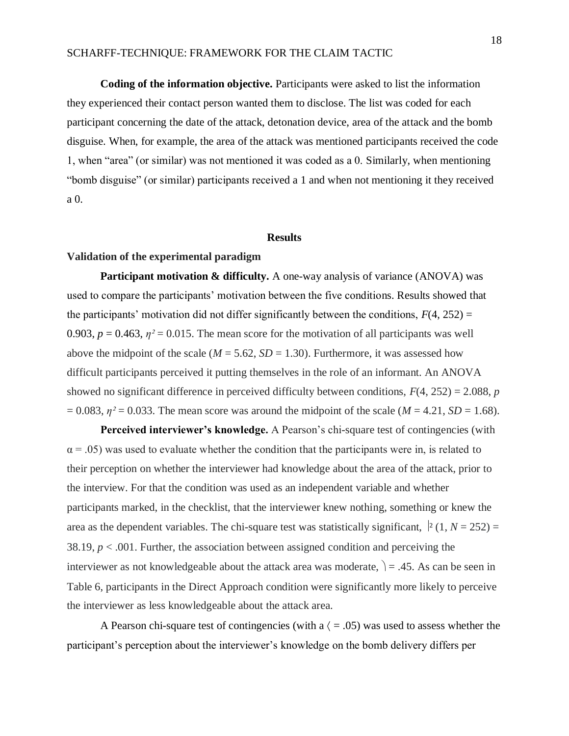**Coding of the information objective.** Participants were asked to list the information they experienced their contact person wanted them to disclose. The list was coded for each participant concerning the date of the attack, detonation device, area of the attack and the bomb disguise. When, for example, the area of the attack was mentioned participants received the code 1, when "area" (or similar) was not mentioned it was coded as a 0. Similarly, when mentioning "bomb disguise" (or similar) participants received a 1 and when not mentioning it they received a 0.

#### **Results**

## **Validation of the experimental paradigm**

**Participant motivation & difficulty.** A one-way analysis of variance (ANOVA) was used to compare the participants' motivation between the five conditions. Results showed that the participants' motivation did not differ significantly between the conditions,  $F(4, 252) =$ 0.903,  $p = 0.463$ ,  $\eta^2 = 0.015$ . The mean score for the motivation of all participants was well above the midpoint of the scale ( $M = 5.62$ ,  $SD = 1.30$ ). Furthermore, it was assessed how difficult participants perceived it putting themselves in the role of an informant. An ANOVA showed no significant difference in perceived difficulty between conditions, *F*(4, 252) = 2.088, *p*   $= 0.083$ ,  $\eta^2 = 0.033$ . The mean score was around the midpoint of the scale (*M* = 4.21, *SD* = 1.68).

Perceived interviewer's knowledge. A Pearson's chi-square test of contingencies (with  $\alpha$  = .05) was used to evaluate whether the condition that the participants were in, is related to their perception on whether the interviewer had knowledge about the area of the attack, prior to the interview. For that the condition was used as an independent variable and whether participants marked, in the checklist, that the interviewer knew nothing, something or knew the area as the dependent variables. The chi-square test was statistically significant,  $\vert^2$  (1, *N* = 252) = 38.19,  $p < .001$ . Further, the association between assigned condition and perceiving the interviewer as not knowledgeable about the attack area was moderate,  $= .45$ . As can be seen in Table 6, participants in the Direct Approach condition were significantly more likely to perceive the interviewer as less knowledgeable about the attack area.

A Pearson chi-square test of contingencies (with a  $($  = .05) was used to assess whether the participant's perception about the interviewer's knowledge on the bomb delivery differs per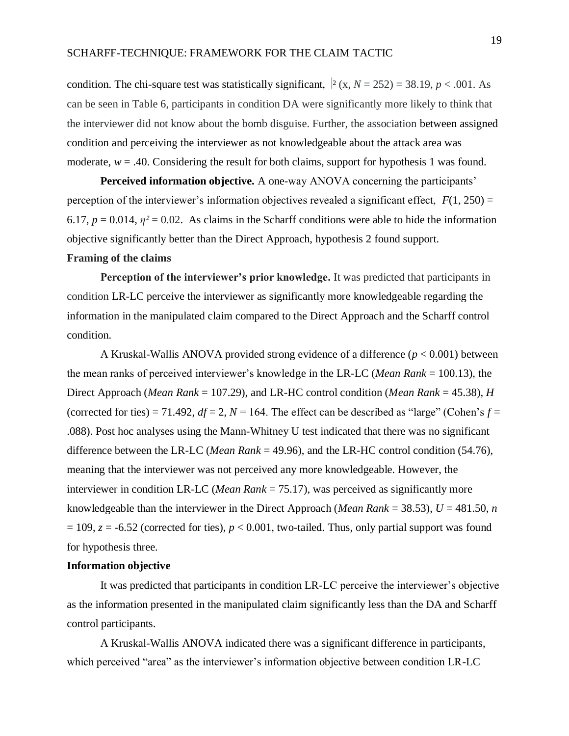condition. The chi-square test was statistically significant,  $\vert z(x, N=252) = 38.19, p < .001$ . As can be seen in Table 6, participants in condition DA were significantly more likely to think that the interviewer did not know about the bomb disguise. Further, the association between assigned condition and perceiving the interviewer as not knowledgeable about the attack area was moderate,  $w = .40$ . Considering the result for both claims, support for hypothesis 1 was found.

**Perceived information objective.** A one-way ANOVA concerning the participants' perception of the interviewer's information objectives revealed a significant effect,  $F(1, 250) =$ 6.17,  $p = 0.014$ ,  $\eta^2 = 0.02$ . As claims in the Scharff conditions were able to hide the information objective significantly better than the Direct Approach, hypothesis 2 found support.

# **Framing of the claims**

**Perception of the interviewer's prior knowledge.** It was predicted that participants in condition LR-LC perceive the interviewer as significantly more knowledgeable regarding the information in the manipulated claim compared to the Direct Approach and the Scharff control condition.

A Kruskal-Wallis ANOVA provided strong evidence of a difference (*p* < 0.001) between the mean ranks of perceived interviewer's knowledge in the LR-LC (*Mean Rank* = 100.13), the Direct Approach (*Mean Rank* = 107.29), and LR-HC control condition (*Mean Rank* = 45.38), *H* (corrected for ties) = 71.492,  $df = 2$ ,  $N = 164$ . The effect can be described as "large" (Cohen's  $f =$ .088). Post hoc analyses using the Mann-Whitney U test indicated that there was no significant difference between the LR-LC (*Mean Rank* = 49.96), and the LR-HC control condition (54.76), meaning that the interviewer was not perceived any more knowledgeable. However, the interviewer in condition LR-LC (*Mean Rank* = 75.17), was perceived as significantly more knowledgeable than the interviewer in the Direct Approach (*Mean Rank* = 38.53),  $U = 481.50$ , *n*  $= 109$ ,  $z = -6.52$  (corrected for ties),  $p < 0.001$ , two-tailed. Thus, only partial support was found for hypothesis three.

#### **Information objective**

It was predicted that participants in condition LR-LC perceive the interviewer's objective as the information presented in the manipulated claim significantly less than the DA and Scharff control participants.

A Kruskal-Wallis ANOVA indicated there was a significant difference in participants, which perceived "area" as the interviewer's information objective between condition LR-LC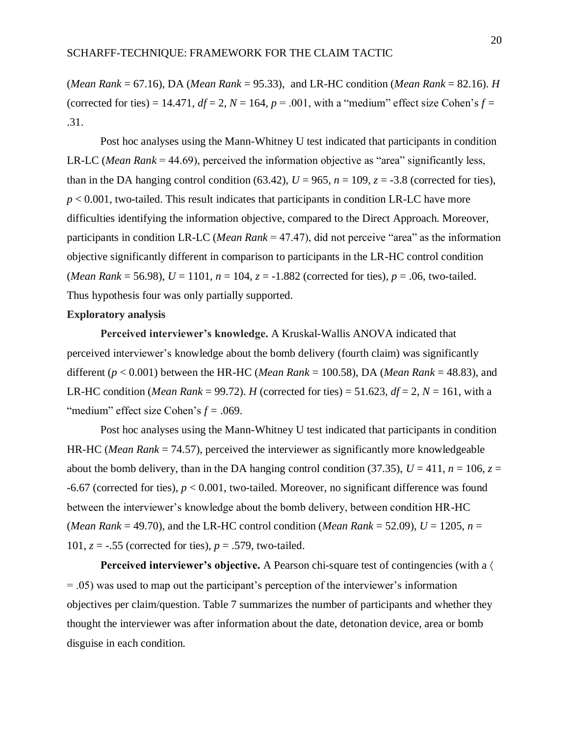(*Mean Rank* = 67.16), DA (*Mean Rank* = 95.33), and LR-HC condition (*Mean Rank* = 82.16). *H*  (corrected for ties) = 14.471,  $df = 2$ ,  $N = 164$ ,  $p = .001$ , with a "medium" effect size Cohen's  $f =$ .31.

Post hoc analyses using the Mann-Whitney U test indicated that participants in condition LR-LC (*Mean Rank* = 44.69), perceived the information objective as "area" significantly less, than in the DA hanging control condition (63.42),  $U = 965$ ,  $n = 109$ ,  $z = -3.8$  (corrected for ties),  $p < 0.001$ , two-tailed. This result indicates that participants in condition LR-LC have more difficulties identifying the information objective, compared to the Direct Approach. Moreover, participants in condition LR-LC (*Mean Rank* = 47.47), did not perceive "area" as the information objective significantly different in comparison to participants in the LR-HC control condition (*Mean Rank* = 56.98),  $U = 1101$ ,  $n = 104$ ,  $z = -1.882$  (corrected for ties),  $p = .06$ , two-tailed. Thus hypothesis four was only partially supported.

#### **Exploratory analysis**

**Perceived interviewer's knowledge.** A Kruskal-Wallis ANOVA indicated that perceived interviewer's knowledge about the bomb delivery (fourth claim) was significantly different (*p* < 0.001) between the HR-HC (*Mean Rank* = 100.58), DA (*Mean Rank* = 48.83), and LR-HC condition (*Mean Rank* = 99.72). *H* (corrected for ties) = 51.623,  $df = 2$ ,  $N = 161$ , with a "medium" effect size Cohen's  $f = .069$ .

Post hoc analyses using the Mann-Whitney U test indicated that participants in condition HR-HC (*Mean Rank* = 74.57), perceived the interviewer as significantly more knowledgeable about the bomb delivery, than in the DA hanging control condition (37.35),  $U = 411$ ,  $n = 106$ ,  $z =$ -6.67 (corrected for ties), *p* < 0.001, two-tailed. Moreover, no significant difference was found between the interviewer's knowledge about the bomb delivery, between condition HR-HC (*Mean Rank* = 49.70), and the LR-HC control condition (*Mean Rank* = 52.09),  $U = 1205$ ,  $n =$ 101,  $z = -0.55$  (corrected for ties),  $p = 0.579$ , two-tailed.

**Perceived interviewer's objective.** A Pearson chi-square test of contingencies (with a  $\langle$ = .05) was used to map out the participant's perception of the interviewer's information objectives per claim/question. Table 7 summarizes the number of participants and whether they thought the interviewer was after information about the date, detonation device, area or bomb disguise in each condition.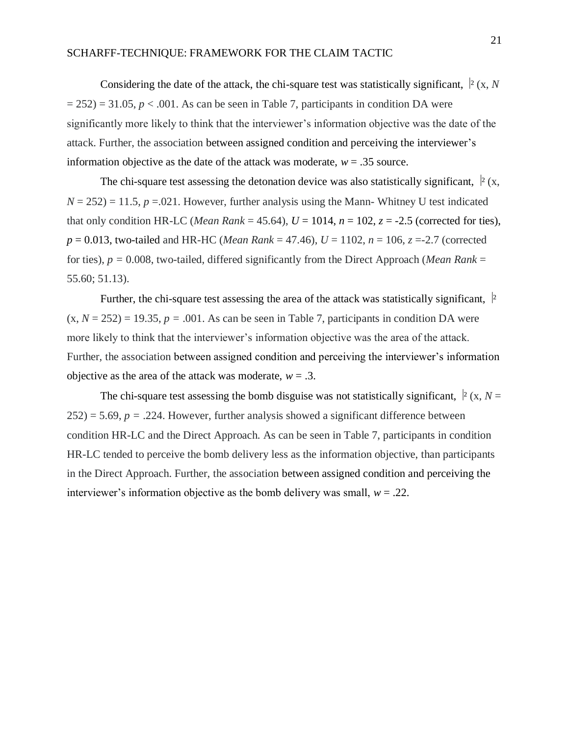Considering the date of the attack, the chi-square test was statistically significant,  $\frac{1}{2}$  (x, *N*  $= 252$ )  $= 31.05$ ,  $p < .001$ . As can be seen in Table 7, participants in condition DA were significantly more likely to think that the interviewer's information objective was the date of the attack. Further, the association between assigned condition and perceiving the interviewer's information objective as the date of the attack was moderate,  $w = .35$  source.

The chi-square test assessing the detonation device was also statistically significant,  $\frac{1}{2}(x, y)$  $N = 252$ ) = 11.5,  $p = 0.021$ . However, further analysis using the Mann-Whitney U test indicated that only condition HR-LC (*Mean Rank* = 45.64),  $U = 1014$ ,  $n = 102$ ,  $z = -2.5$  (corrected for ties),  $p = 0.013$ , two-tailed and HR-HC (*Mean Rank* = 47.46),  $U = 1102$ ,  $n = 106$ ,  $z = -2.7$  (corrected for ties), *p =* 0.008, two-tailed, differed significantly from the Direct Approach (*Mean Rank* = 55.60; 51.13).

Further, the chi-square test assessing the area of the attack was statistically significant,  $\frac{1}{2}$  $(x, N = 252) = 19.35$ ,  $p = .001$ . As can be seen in Table 7, participants in condition DA were more likely to think that the interviewer's information objective was the area of the attack. Further, the association between assigned condition and perceiving the interviewer's information objective as the area of the attack was moderate,  $w = .3$ .

The chi-square test assessing the bomb disguise was not statistically significant,  $\vert^2$  (x, *N* =  $252$ ) = 5.69,  $p = .224$ . However, further analysis showed a significant difference between condition HR-LC and the Direct Approach. As can be seen in Table 7, participants in condition HR-LC tended to perceive the bomb delivery less as the information objective, than participants in the Direct Approach. Further, the association between assigned condition and perceiving the interviewer's information objective as the bomb delivery was small,  $w = .22$ .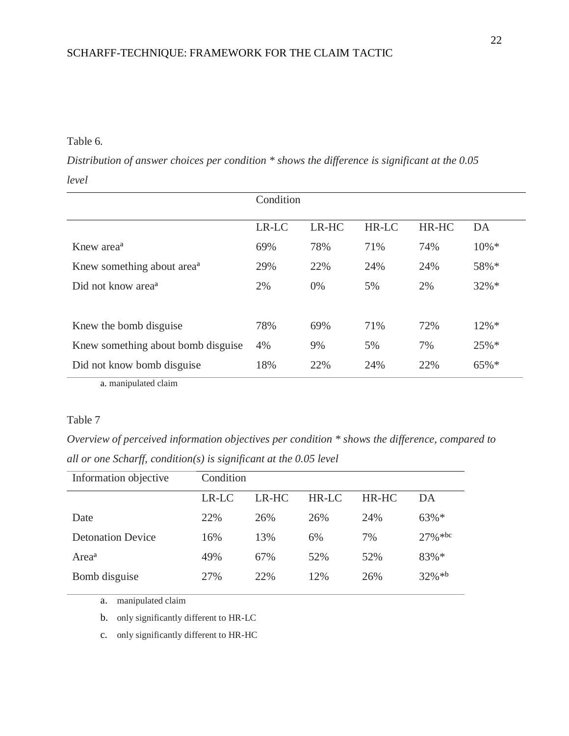# Table 6*.*

*Distribution of answer choices per condition \* shows the difference is significant at the 0.05 level* 

|                                        | Condition |       |              |       |          |  |  |
|----------------------------------------|-----------|-------|--------------|-------|----------|--|--|
|                                        | LR-LC     | LR-HC | <b>HR-LC</b> | HR-HC | DA       |  |  |
| Knew area <sup>a</sup>                 | 69%       | 78%   | 71%          | 74%   | $10\% *$ |  |  |
| Knew something about area <sup>a</sup> | 29%       | 22%   | 24%          | 24%   | 58%*     |  |  |
| Did not know area <sup>a</sup>         | 2%        | 0%    | 5%           | 2%    | $32\% *$ |  |  |
|                                        |           |       |              |       |          |  |  |
| Knew the bomb disguise                 | 78%       | 69%   | 71%          | 72%   | $12\% *$ |  |  |
| Knew something about bomb disguise     | 4%        | 9%    | 5%           | 7%    | 25%*     |  |  |
| Did not know bomb disguise             | 18%       | 22%   | 24%          | 22%   | 65%*     |  |  |

a. manipulated claim

# Table 7

*Overview of perceived information objectives per condition \* shows the difference, compared to all or one Scharff, condition(s) is significant at the 0.05 level* 

| Information objective    | Condition |       |         |         |            |  |  |
|--------------------------|-----------|-------|---------|---------|------------|--|--|
|                          | $LR-LC$   | LR-HC | $HR-LC$ | $HR-HC$ | DA         |  |  |
| Date                     | 22%       | 26%   | 26%     | 24%     | $63\% *$   |  |  |
| <b>Detonation Device</b> | 16%       | 13%   | 6%      | 7%      | $27\%$ *bc |  |  |
| Area <sup>a</sup>        | 49%       | 67%   | 52%     | 52%     | 83%*       |  |  |
| Bomb disguise            | 27%       | 22%   | 12%     | 26%     | $32\% * b$ |  |  |

a. manipulated claim

b. only significantly different to HR-LC

c. only significantly different to HR-HC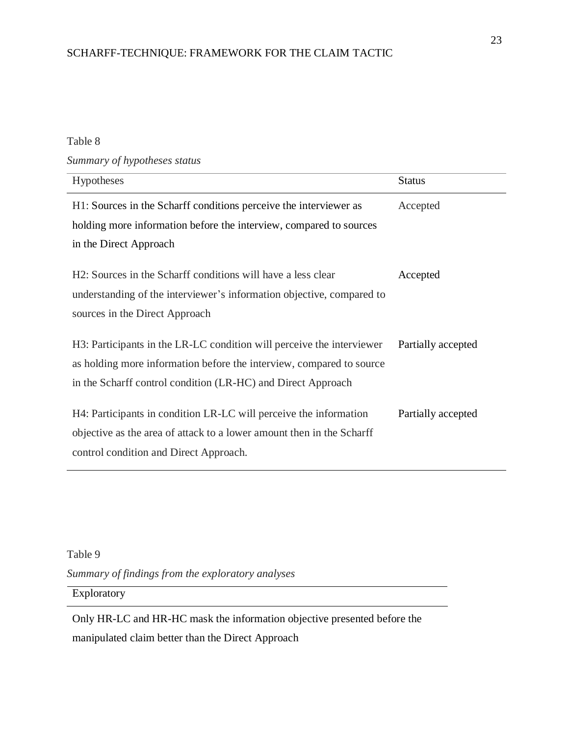# Table 8

*Summary of hypotheses status* 

| Hypotheses                                                                                                                                                                                                    | <b>Status</b>      |
|---------------------------------------------------------------------------------------------------------------------------------------------------------------------------------------------------------------|--------------------|
| H1: Sources in the Scharff conditions perceive the interviewer as<br>holding more information before the interview, compared to sources<br>in the Direct Approach                                             | Accepted           |
| H2: Sources in the Scharff conditions will have a less clear<br>understanding of the interviewer's information objective, compared to<br>sources in the Direct Approach                                       | Accepted           |
| H3: Participants in the LR-LC condition will perceive the interviewer<br>as holding more information before the interview, compared to source<br>in the Scharff control condition (LR-HC) and Direct Approach | Partially accepted |
| H4: Participants in condition LR-LC will perceive the information<br>objective as the area of attack to a lower amount then in the Scharff<br>control condition and Direct Approach.                          | Partially accepted |

Table 9

*Summary of findings from the exploratory analyses* 

Exploratory

Only HR-LC and HR-HC mask the information objective presented before the manipulated claim better than the Direct Approach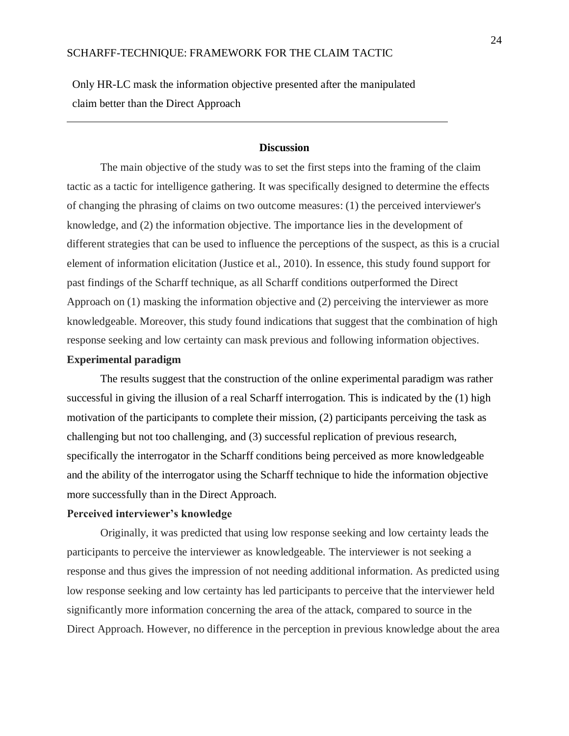Only HR-LC mask the information objective presented after the manipulated claim better than the Direct Approach

# **Discussion**

The main objective of the study was to set the first steps into the framing of the claim tactic as a tactic for intelligence gathering. It was specifically designed to determine the effects of changing the phrasing of claims on two outcome measures: (1) the perceived interviewer's knowledge, and (2) the information objective. The importance lies in the development of different strategies that can be used to influence the perceptions of the suspect, as this is a crucial element of information elicitation (Justice et al., 2010). In essence, this study found support for past findings of the Scharff technique, as all Scharff conditions outperformed the Direct Approach on (1) masking the information objective and (2) perceiving the interviewer as more knowledgeable. Moreover, this study found indications that suggest that the combination of high response seeking and low certainty can mask previous and following information objectives.

# **Experimental paradigm**

The results suggest that the construction of the online experimental paradigm was rather successful in giving the illusion of a real Scharff interrogation. This is indicated by the (1) high motivation of the participants to complete their mission, (2) participants perceiving the task as challenging but not too challenging, and (3) successful replication of previous research, specifically the interrogator in the Scharff conditions being perceived as more knowledgeable and the ability of the interrogator using the Scharff technique to hide the information objective more successfully than in the Direct Approach.

# **Perceived interviewer's knowledge**

Originally, it was predicted that using low response seeking and low certainty leads the participants to perceive the interviewer as knowledgeable. The interviewer is not seeking a response and thus gives the impression of not needing additional information. As predicted using low response seeking and low certainty has led participants to perceive that the interviewer held significantly more information concerning the area of the attack, compared to source in the Direct Approach. However, no difference in the perception in previous knowledge about the area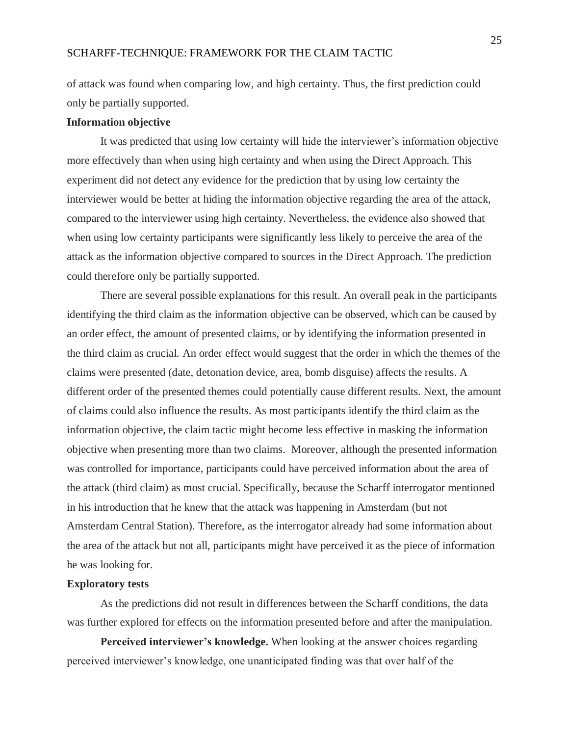of attack was found when comparing low, and high certainty. Thus, the first prediction could only be partially supported.

## **Information objective**

It was predicted that using low certainty will hide the interviewer's information objective more effectively than when using high certainty and when using the Direct Approach. This experiment did not detect any evidence for the prediction that by using low certainty the interviewer would be better at hiding the information objective regarding the area of the attack, compared to the interviewer using high certainty. Nevertheless, the evidence also showed that when using low certainty participants were significantly less likely to perceive the area of the attack as the information objective compared to sources in the Direct Approach. The prediction could therefore only be partially supported.

There are several possible explanations for this result. An overall peak in the participants identifying the third claim as the information objective can be observed, which can be caused by an order effect, the amount of presented claims, or by identifying the information presented in the third claim as crucial. An order effect would suggest that the order in which the themes of the claims were presented (date, detonation device, area, bomb disguise) affects the results. A different order of the presented themes could potentially cause different results. Next, the amount of claims could also influence the results. As most participants identify the third claim as the information objective, the claim tactic might become less effective in masking the information objective when presenting more than two claims. Moreover, although the presented information was controlled for importance, participants could have perceived information about the area of the attack (third claim) as most crucial. Specifically, because the Scharff interrogator mentioned in his introduction that he knew that the attack was happening in Amsterdam (but not Amsterdam Central Station). Therefore, as the interrogator already had some information about the area of the attack but not all, participants might have perceived it as the piece of information he was looking for.

#### **Exploratory tests**

As the predictions did not result in differences between the Scharff conditions, the data was further explored for effects on the information presented before and after the manipulation.

**Perceived interviewer's knowledge.** When looking at the answer choices regarding perceived interviewer's knowledge, one unanticipated finding was that over half of the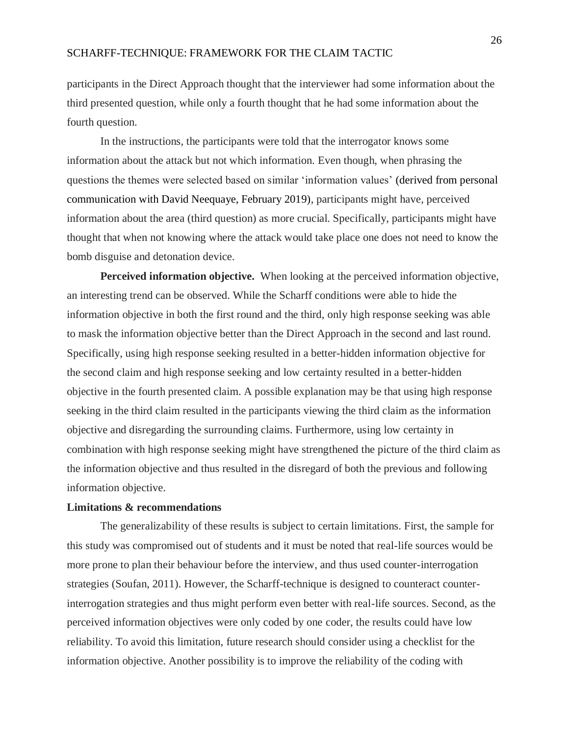participants in the Direct Approach thought that the interviewer had some information about the third presented question, while only a fourth thought that he had some information about the fourth question.

In the instructions, the participants were told that the interrogator knows some information about the attack but not which information. Even though, when phrasing the questions the themes were selected based on similar 'information values' (derived from personal communication with David Neequaye, February 2019), participants might have, perceived information about the area (third question) as more crucial. Specifically, participants might have thought that when not knowing where the attack would take place one does not need to know the bomb disguise and detonation device.

**Perceived information objective.** When looking at the perceived information objective, an interesting trend can be observed. While the Scharff conditions were able to hide the information objective in both the first round and the third, only high response seeking was able to mask the information objective better than the Direct Approach in the second and last round. Specifically, using high response seeking resulted in a better-hidden information objective for the second claim and high response seeking and low certainty resulted in a better-hidden objective in the fourth presented claim. A possible explanation may be that using high response seeking in the third claim resulted in the participants viewing the third claim as the information objective and disregarding the surrounding claims. Furthermore, using low certainty in combination with high response seeking might have strengthened the picture of the third claim as the information objective and thus resulted in the disregard of both the previous and following information objective.

## **Limitations & recommendations**

The generalizability of these results is subject to certain limitations. First, the sample for this study was compromised out of students and it must be noted that real-life sources would be more prone to plan their behaviour before the interview, and thus used counter-interrogation strategies (Soufan, 2011). However, the Scharff-technique is designed to counteract counterinterrogation strategies and thus might perform even better with real-life sources. Second, as the perceived information objectives were only coded by one coder, the results could have low reliability. To avoid this limitation, future research should consider using a checklist for the information objective. Another possibility is to improve the reliability of the coding with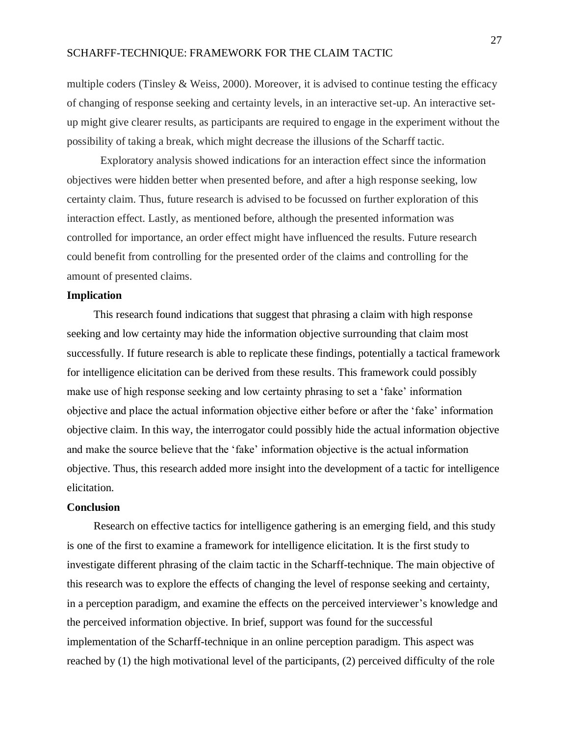multiple coders (Tinsley & Weiss, 2000). Moreover, it is advised to continue testing the efficacy of changing of response seeking and certainty levels, in an interactive set-up. An interactive setup might give clearer results, as participants are required to engage in the experiment without the possibility of taking a break, which might decrease the illusions of the Scharff tactic.

Exploratory analysis showed indications for an interaction effect since the information objectives were hidden better when presented before, and after a high response seeking, low certainty claim. Thus, future research is advised to be focussed on further exploration of this interaction effect. Lastly, as mentioned before, although the presented information was controlled for importance, an order effect might have influenced the results. Future research could benefit from controlling for the presented order of the claims and controlling for the amount of presented claims.

## **Implication**

This research found indications that suggest that phrasing a claim with high response seeking and low certainty may hide the information objective surrounding that claim most successfully. If future research is able to replicate these findings, potentially a tactical framework for intelligence elicitation can be derived from these results. This framework could possibly make use of high response seeking and low certainty phrasing to set a 'fake' information objective and place the actual information objective either before or after the 'fake' information objective claim. In this way, the interrogator could possibly hide the actual information objective and make the source believe that the 'fake' information objective is the actual information objective. Thus, this research added more insight into the development of a tactic for intelligence elicitation.

#### **Conclusion**

Research on effective tactics for intelligence gathering is an emerging field, and this study is one of the first to examine a framework for intelligence elicitation. It is the first study to investigate different phrasing of the claim tactic in the Scharff-technique. The main objective of this research was to explore the effects of changing the level of response seeking and certainty, in a perception paradigm, and examine the effects on the perceived interviewer's knowledge and the perceived information objective. In brief, support was found for the successful implementation of the Scharff-technique in an online perception paradigm. This aspect was reached by (1) the high motivational level of the participants, (2) perceived difficulty of the role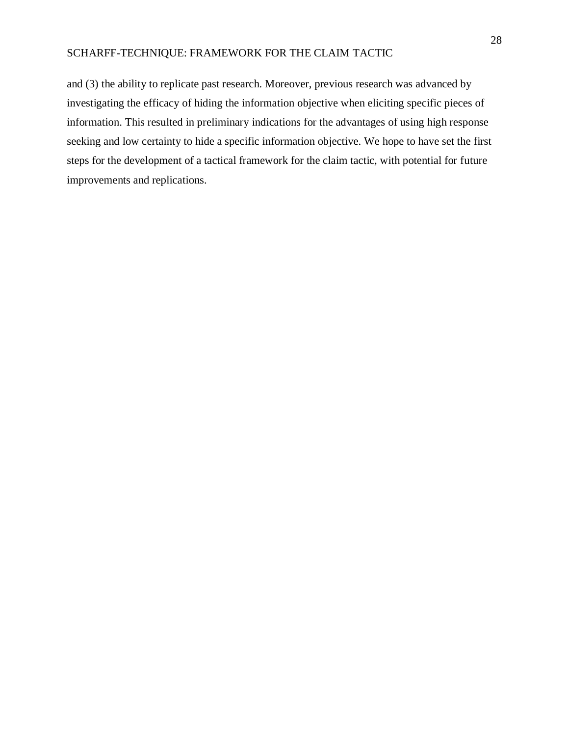and (3) the ability to replicate past research. Moreover, previous research was advanced by investigating the efficacy of hiding the information objective when eliciting specific pieces of information. This resulted in preliminary indications for the advantages of using high response seeking and low certainty to hide a specific information objective. We hope to have set the first steps for the development of a tactical framework for the claim tactic, with potential for future improvements and replications.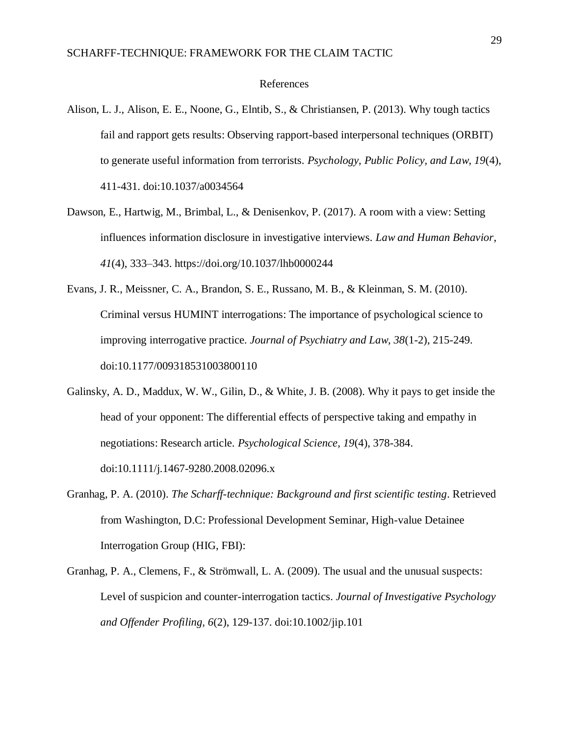#### References

- Alison, L. J., Alison, E. E., Noone, G., Elntib, S., & Christiansen, P. (2013). Why tough tactics fail and rapport gets results: Observing rapport-based interpersonal techniques (ORBIT) to generate useful information from terrorists. *Psychology, Public Policy, and Law, 19*(4), 411-431. doi:10.1037/a0034564
- Dawson, E., Hartwig, M., Brimbal, L., & Denisenkov, P. (2017). A room with a view: Setting influences information disclosure in investigative interviews. *Law and Human Behavior*, *41*(4), 333–343. https://doi.org/10.1037/lhb0000244
- Evans, J. R., Meissner, C. A., Brandon, S. E., Russano, M. B., & Kleinman, S. M. (2010). Criminal versus HUMINT interrogations: The importance of psychological science to improving interrogative practice. *Journal of Psychiatry and Law, 38*(1-2), 215-249. doi:10.1177/009318531003800110
- Galinsky, A. D., Maddux, W. W., Gilin, D., & White, J. B. (2008). Why it pays to get inside the head of your opponent: The differential effects of perspective taking and empathy in negotiations: Research article. *Psychological Science, 19*(4), 378-384. doi:10.1111/j.1467-9280.2008.02096.x
- Granhag, P. A. (2010). *The Scharff-technique: Background and first scientific testing*. Retrieved from Washington, D.C: Professional Development Seminar, High-value Detainee Interrogation Group (HIG, FBI):
- Granhag, P. A., Clemens, F., & Strömwall, L. A. (2009). The usual and the unusual suspects: Level of suspicion and counter-interrogation tactics. *Journal of Investigative Psychology and Offender Profiling, 6*(2), 129-137. doi:10.1002/jip.101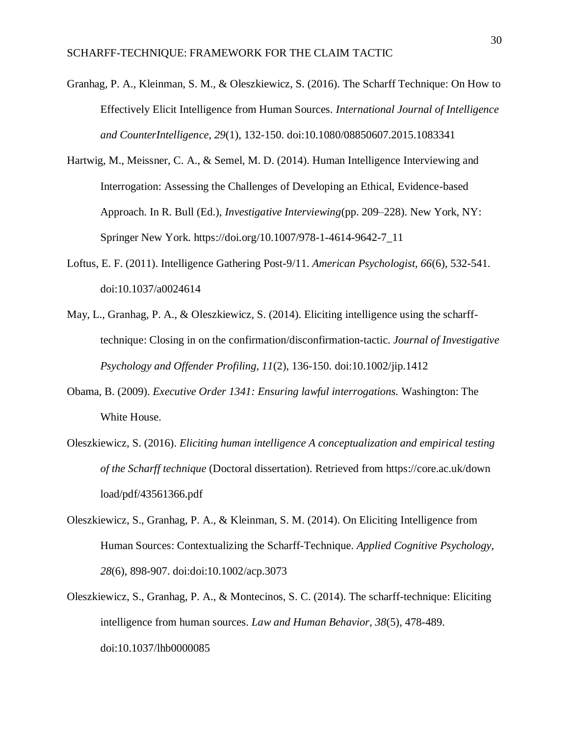- Granhag, P. A., Kleinman, S. M., & Oleszkiewicz, S. (2016). The Scharff Technique: On How to Effectively Elicit Intelligence from Human Sources. *International Journal of Intelligence and CounterIntelligence, 29*(1), 132-150. doi:10.1080/08850607.2015.1083341
- Hartwig, M., Meissner, C. A., & Semel, M. D. (2014). Human Intelligence Interviewing and Interrogation: Assessing the Challenges of Developing an Ethical, Evidence-based Approach. In R. Bull (Ed.), *Investigative Interviewing*(pp. 209–228). New York, NY: Springer New York. https://doi.org/10.1007/978-1-4614-9642-7\_11
- Loftus, E. F. (2011). Intelligence Gathering Post-9/11. *American Psychologist, 66*(6), 532-541. doi:10.1037/a0024614
- May, L., Granhag, P. A., & Oleszkiewicz, S. (2014). Eliciting intelligence using the scharfftechnique: Closing in on the confirmation/disconfirmation-tactic. *Journal of Investigative Psychology and Offender Profiling, 11*(2), 136-150. doi:10.1002/jip.1412
- Obama, B. (2009). *Executive Order 1341: Ensuring lawful interrogations.* Washington: The White House.
- Oleszkiewicz, S. (2016). *Eliciting human intelligence A conceptualization and empirical testing of the Scharff technique* (Doctoral dissertation). Retrieved from https://core.ac.uk/down load/pdf/43561366.pdf
- Oleszkiewicz, S., Granhag, P. A., & Kleinman, S. M. (2014). On Eliciting Intelligence from Human Sources: Contextualizing the Scharff-Technique. *Applied Cognitive Psychology, 28*(6), 898-907. doi:doi:10.1002/acp.3073
- Oleszkiewicz, S., Granhag, P. A., & Montecinos, S. C. (2014). The scharff-technique: Eliciting intelligence from human sources. *Law and Human Behavior, 38*(5), 478-489. doi:10.1037/lhb0000085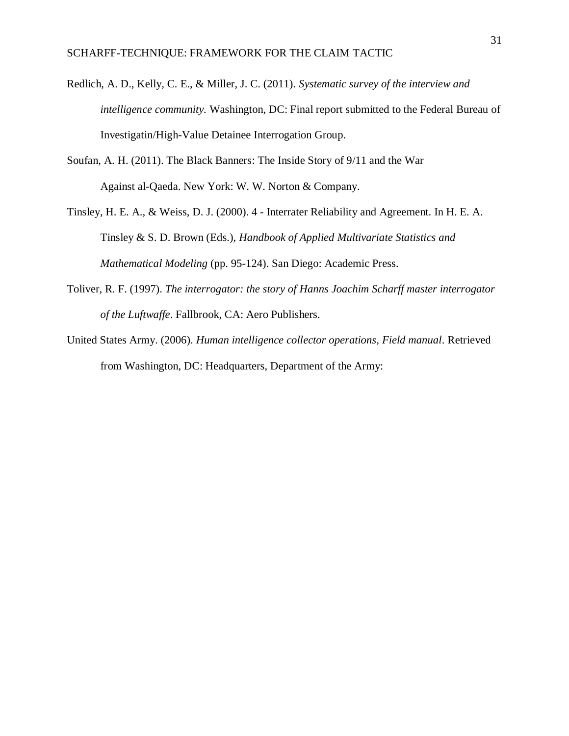- Redlich, A. D., Kelly, C. E., & Miller, J. C. (2011). *Systematic survey of the interview and intelligence community.* Washington, DC: Final report submitted to the Federal Bureau of Investigatin/High-Value Detainee Interrogation Group.
- Soufan, A. H. (2011). The Black Banners: The Inside Story of 9/11 and the War Against al-Qaeda. New York: W. W. Norton & Company.
- Tinsley, H. E. A., & Weiss, D. J. (2000). 4 Interrater Reliability and Agreement. In H. E. A. Tinsley & S. D. Brown (Eds.), *Handbook of Applied Multivariate Statistics and Mathematical Modeling* (pp. 95-124). San Diego: Academic Press.
- Toliver, R. F. (1997). *The interrogator: the story of Hanns Joachim Scharff master interrogator of the Luftwaffe*. Fallbrook, CA: Aero Publishers.
- United States Army. (2006). *Human intelligence collector operations, Field manual*. Retrieved from Washington, DC: Headquarters, Department of the Army: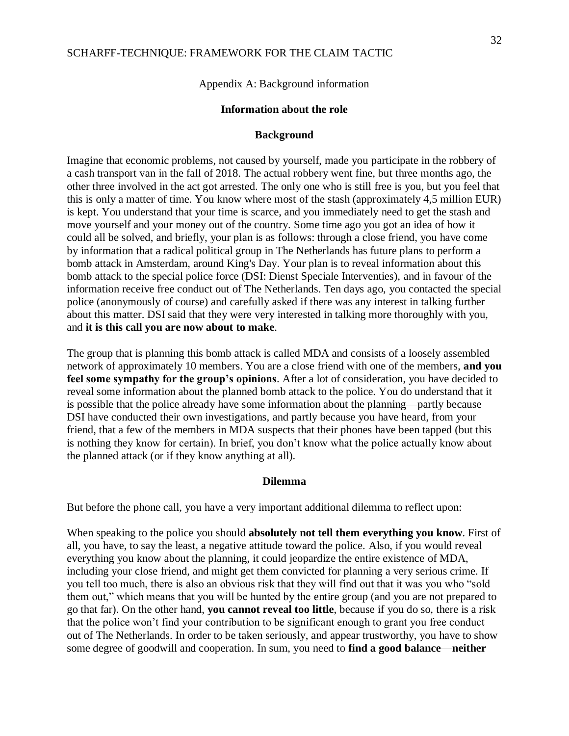Appendix A: Background information

# **Information about the role**

#### **Background**

Imagine that economic problems, not caused by yourself, made you participate in the robbery of a cash transport van in the fall of 2018. The actual robbery went fine, but three months ago, the other three involved in the act got arrested. The only one who is still free is you, but you feel that this is only a matter of time. You know where most of the stash (approximately 4,5 million EUR) is kept. You understand that your time is scarce, and you immediately need to get the stash and move yourself and your money out of the country. Some time ago you got an idea of how it could all be solved, and briefly, your plan is as follows: through a close friend, you have come by information that a radical political group in The Netherlands has future plans to perform a bomb attack in Amsterdam, around King's Day. Your plan is to reveal information about this bomb attack to the special police force (DSI: Dienst Speciale Interventies), and in favour of the information receive free conduct out of The Netherlands. Ten days ago, you contacted the special police (anonymously of course) and carefully asked if there was any interest in talking further about this matter. DSI said that they were very interested in talking more thoroughly with you, and **it is this call you are now about to make**.

The group that is planning this bomb attack is called MDA and consists of a loosely assembled network of approximately 10 members. You are a close friend with one of the members, **and you feel some sympathy for the group's opinions**. After a lot of consideration, you have decided to reveal some information about the planned bomb attack to the police. You do understand that it is possible that the police already have some information about the planning—partly because DSI have conducted their own investigations, and partly because you have heard, from your friend, that a few of the members in MDA suspects that their phones have been tapped (but this is nothing they know for certain). In brief, you don't know what the police actually know about the planned attack (or if they know anything at all).

#### **Dilemma**

But before the phone call, you have a very important additional dilemma to reflect upon:

When speaking to the police you should **absolutely not tell them everything you know**. First of all, you have, to say the least, a negative attitude toward the police. Also, if you would reveal everything you know about the planning, it could jeopardize the entire existence of MDA, including your close friend, and might get them convicted for planning a very serious crime. If you tell too much, there is also an obvious risk that they will find out that it was you who "sold them out," which means that you will be hunted by the entire group (and you are not prepared to go that far). On the other hand, **you cannot reveal too little**, because if you do so, there is a risk that the police won't find your contribution to be significant enough to grant you free conduct out of The Netherlands. In order to be taken seriously, and appear trustworthy, you have to show some degree of goodwill and cooperation. In sum, you need to **find a good balance**—**neither**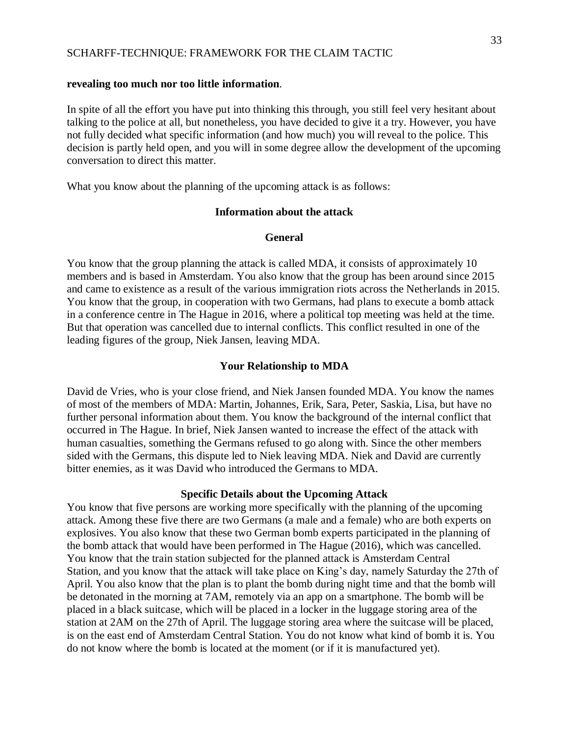## **revealing too much nor too little information**.

In spite of all the effort you have put into thinking this through, you still feel very hesitant about talking to the police at all, but nonetheless, you have decided to give it a try. However, you have not fully decided what specific information (and how much) you will reveal to the police. This decision is partly held open, and you will in some degree allow the development of the upcoming conversation to direct this matter.

What you know about the planning of the upcoming attack is as follows:

# **Information about the attack**

#### **General**

You know that the group planning the attack is called MDA, it consists of approximately 10 members and is based in Amsterdam. You also know that the group has been around since 2015 and came to existence as a result of the various immigration riots across the Netherlands in 2015. You know that the group, in cooperation with two Germans, had plans to execute a bomb attack in a conference centre in The Hague in 2016, where a political top meeting was held at the time. But that operation was cancelled due to internal conflicts. This conflict resulted in one of the leading figures of the group, Niek Jansen, leaving MDA.

#### **Your Relationship to MDA**

David de Vries, who is your close friend, and Niek Jansen founded MDA. You know the names of most of the members of MDA: Martin, Johannes, Erik, Sara, Peter, Saskia, Lisa, but have no further personal information about them. You know the background of the internal conflict that occurred in The Hague. In brief, Niek Jansen wanted to increase the effect of the attack with human casualties, something the Germans refused to go along with. Since the other members sided with the Germans, this dispute led to Niek leaving MDA. Niek and David are currently bitter enemies, as it was David who introduced the Germans to MDA.

#### **Specific Details about the Upcoming Attack**

You know that five persons are working more specifically with the planning of the upcoming attack. Among these five there are two Germans (a male and a female) who are both experts on explosives. You also know that these two German bomb experts participated in the planning of the bomb attack that would have been performed in The Hague (2016), which was cancelled. You know that the train station subjected for the planned attack is Amsterdam Central Station, and you know that the attack will take place on King's day, namely Saturday the 27th of April. You also know that the plan is to plant the bomb during night time and that the bomb will be detonated in the morning at 7AM, remotely via an app on a smartphone. The bomb will be placed in a black suitcase, which will be placed in a locker in the luggage storing area of the station at 2AM on the 27th of April. The luggage storing area where the suitcase will be placed, is on the east end of Amsterdam Central Station. You do not know what kind of bomb it is. You do not know where the bomb is located at the moment (or if it is manufactured yet).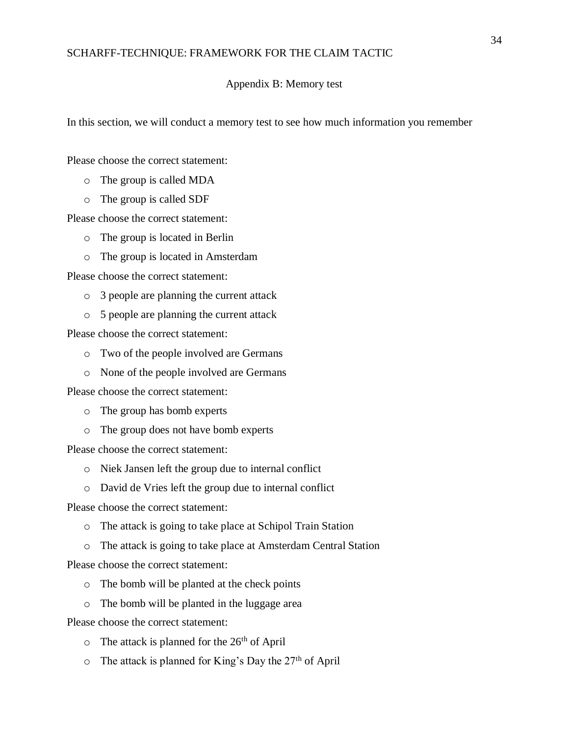#### Appendix B: Memory test

In this section, we will conduct a memory test to see how much information you remember

Please choose the correct statement:

- o The group is called MDA
- o The group is called SDF

Please choose the correct statement:

- o The group is located in Berlin
- o The group is located in Amsterdam

Please choose the correct statement:

- o 3 people are planning the current attack
- o 5 people are planning the current attack

Please choose the correct statement:

- o Two of the people involved are Germans
- o None of the people involved are Germans

Please choose the correct statement:

- o The group has bomb experts
- o The group does not have bomb experts

Please choose the correct statement:

- o Niek Jansen left the group due to internal conflict
- o David de Vries left the group due to internal conflict

Please choose the correct statement:

- o The attack is going to take place at Schipol Train Station
- o The attack is going to take place at Amsterdam Central Station

Please choose the correct statement:

- o The bomb will be planted at the check points
- o The bomb will be planted in the luggage area

Please choose the correct statement:

- $\circ$  The attack is planned for the 26<sup>th</sup> of April
- $\circ$  The attack is planned for King's Day the 27<sup>th</sup> of April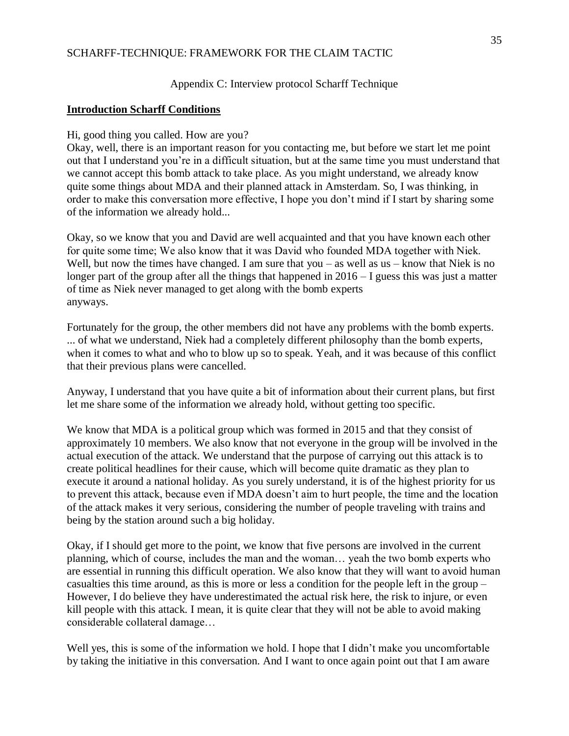### Appendix C: Interview protocol Scharff Technique

#### **Introduction Scharff Conditions**

Hi, good thing you called. How are you?

Okay, well, there is an important reason for you contacting me, but before we start let me point out that I understand you're in a difficult situation, but at the same time you must understand that we cannot accept this bomb attack to take place. As you might understand, we already know quite some things about MDA and their planned attack in Amsterdam. So, I was thinking, in order to make this conversation more effective, I hope you don't mind if I start by sharing some of the information we already hold...

Okay, so we know that you and David are well acquainted and that you have known each other for quite some time; We also know that it was David who founded MDA together with Niek. Well, but now the times have changed. I am sure that you – as well as us – know that Niek is no longer part of the group after all the things that happened in  $2016 - I$  guess this was just a matter of time as Niek never managed to get along with the bomb experts anyways.

Fortunately for the group, the other members did not have any problems with the bomb experts. ... of what we understand, Niek had a completely different philosophy than the bomb experts, when it comes to what and who to blow up so to speak. Yeah, and it was because of this conflict that their previous plans were cancelled.

Anyway, I understand that you have quite a bit of information about their current plans, but first let me share some of the information we already hold, without getting too specific.

We know that MDA is a political group which was formed in 2015 and that they consist of approximately 10 members. We also know that not everyone in the group will be involved in the actual execution of the attack. We understand that the purpose of carrying out this attack is to create political headlines for their cause, which will become quite dramatic as they plan to execute it around a national holiday. As you surely understand, it is of the highest priority for us to prevent this attack, because even if MDA doesn't aim to hurt people, the time and the location of the attack makes it very serious, considering the number of people traveling with trains and being by the station around such a big holiday.

Okay, if I should get more to the point, we know that five persons are involved in the current planning, which of course, includes the man and the woman… yeah the two bomb experts who are essential in running this difficult operation. We also know that they will want to avoid human casualties this time around, as this is more or less a condition for the people left in the group – However, I do believe they have underestimated the actual risk here, the risk to injure, or even kill people with this attack. I mean, it is quite clear that they will not be able to avoid making considerable collateral damage…

Well yes, this is some of the information we hold. I hope that I didn't make you uncomfortable by taking the initiative in this conversation. And I want to once again point out that I am aware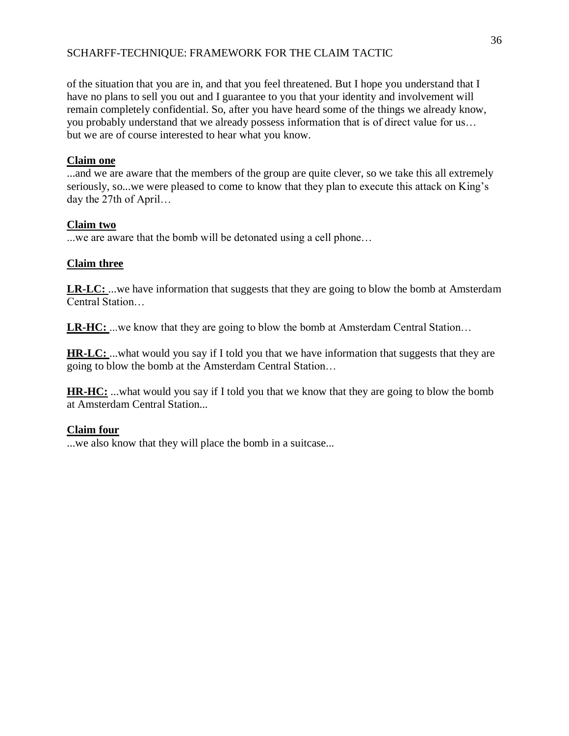of the situation that you are in, and that you feel threatened. But I hope you understand that I have no plans to sell you out and I guarantee to you that your identity and involvement will remain completely confidential. So, after you have heard some of the things we already know, you probably understand that we already possess information that is of direct value for us… but we are of course interested to hear what you know.

# **Claim one**

...and we are aware that the members of the group are quite clever, so we take this all extremely seriously, so...we were pleased to come to know that they plan to execute this attack on King's day the 27th of April…

# **Claim two**

...we are aware that the bomb will be detonated using a cell phone…

# **Claim three**

**LR-LC:** ...we have information that suggests that they are going to blow the bomb at Amsterdam Central Station…

**LR-HC:** ...we know that they are going to blow the bomb at Amsterdam Central Station…

**HR-LC:** ...what would you say if I told you that we have information that suggests that they are going to blow the bomb at the Amsterdam Central Station…

**HR-HC:** ...what would you say if I told you that we know that they are going to blow the bomb at Amsterdam Central Station...

# **Claim four**

...we also know that they will place the bomb in a suitcase...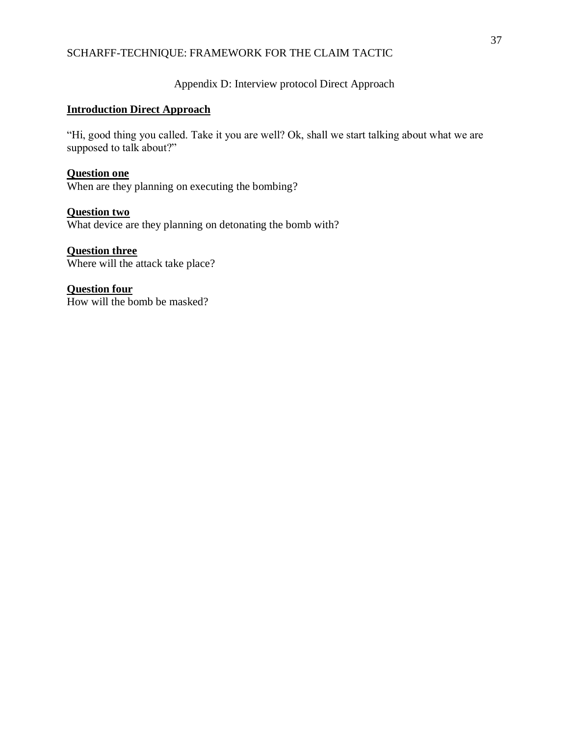Appendix D: Interview protocol Direct Approach

# **Introduction Direct Approach**

"Hi, good thing you called. Take it you are well? Ok, shall we start talking about what we are supposed to talk about?"

# **Question one**

When are they planning on executing the bombing?

# **Question two**

What device are they planning on detonating the bomb with?

# **Question three**

Where will the attack take place?

# **Question four**

How will the bomb be masked?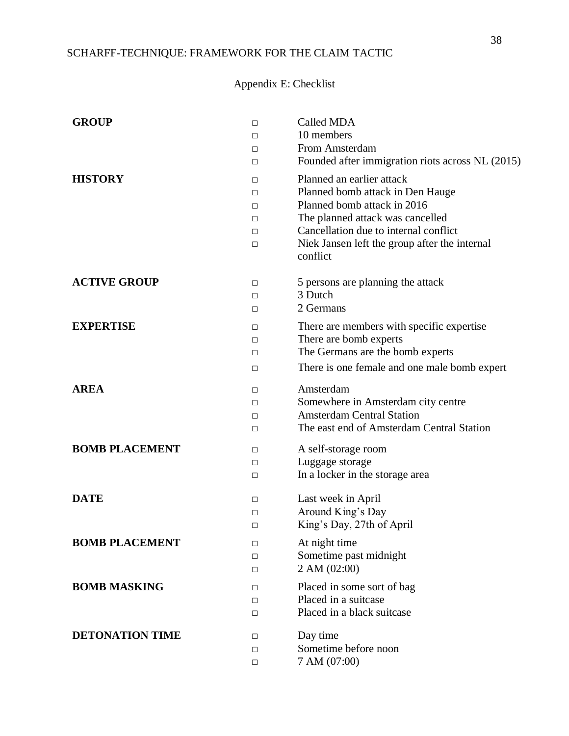# Appendix E: Checklist

| <b>GROUP</b>           | П<br>П<br>□<br>$\Box$      | Called MDA<br>10 members<br>From Amsterdam<br>Founded after immigration riots across NL (2015)                                                                                                                                         |
|------------------------|----------------------------|----------------------------------------------------------------------------------------------------------------------------------------------------------------------------------------------------------------------------------------|
| <b>HISTORY</b>         | □<br>□<br>□<br>□<br>□<br>□ | Planned an earlier attack<br>Planned bomb attack in Den Hauge<br>Planned bomb attack in 2016<br>The planned attack was cancelled<br>Cancellation due to internal conflict<br>Niek Jansen left the group after the internal<br>conflict |
| <b>ACTIVE GROUP</b>    | □<br>П<br>□                | 5 persons are planning the attack<br>3 Dutch<br>2 Germans                                                                                                                                                                              |
| <b>EXPERTISE</b>       | □<br>□<br>$\Box$<br>□      | There are members with specific expertise<br>There are bomb experts<br>The Germans are the bomb experts<br>There is one female and one male bomb expert                                                                                |
| <b>AREA</b>            | □<br>□<br>$\Box$<br>□      | Amsterdam<br>Somewhere in Amsterdam city centre<br><b>Amsterdam Central Station</b><br>The east end of Amsterdam Central Station                                                                                                       |
| <b>BOMB PLACEMENT</b>  | □<br>□<br>□                | A self-storage room<br>Luggage storage<br>In a locker in the storage area                                                                                                                                                              |
| <b>DATE</b>            | □<br>□<br>□                | Last week in April<br>Around King's Day<br>King's Day, 27th of April                                                                                                                                                                   |
| <b>BOMB PLACEMENT</b>  | □<br>П<br>□                | At night time<br>Sometime past midnight<br>2 AM (02:00)                                                                                                                                                                                |
| <b>BOMB MASKING</b>    | □<br>П<br>$\Box$           | Placed in some sort of bag<br>Placed in a suitcase<br>Placed in a black suitcase                                                                                                                                                       |
| <b>DETONATION TIME</b> | □<br>□<br>□                | Day time<br>Sometime before noon<br>7 AM (07:00)                                                                                                                                                                                       |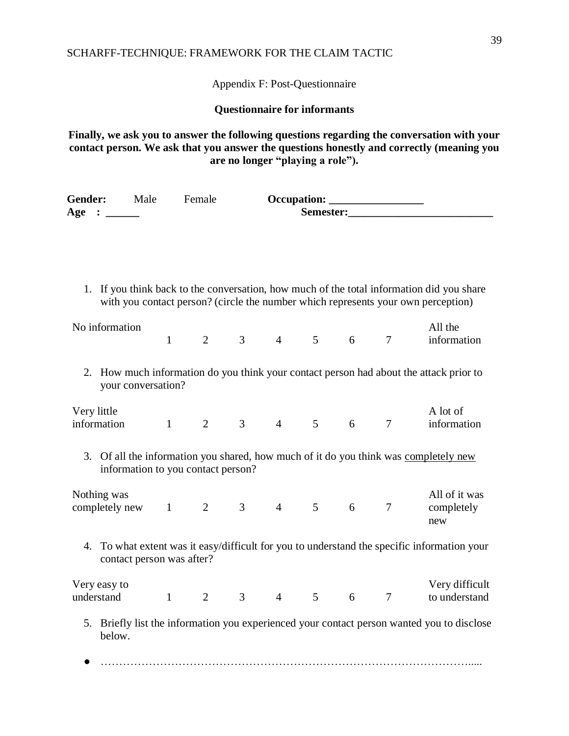Appendix F: Post-Questionnaire

**Questionnaire for informants** 

**Finally, we ask you to answer the following questions regarding the conversation with your contact person. We ask that you answer the questions honestly and correctly (meaning you are no longer "playing a role").**

| Gender: Male                               |                                    | Female                      |                                                  |  |           |                                                                                                                                                                                |
|--------------------------------------------|------------------------------------|-----------------------------|--------------------------------------------------|--|-----------|--------------------------------------------------------------------------------------------------------------------------------------------------------------------------------|
| Age : $\qquad \qquad$                      |                                    |                             |                                                  |  | Semester: |                                                                                                                                                                                |
|                                            |                                    |                             |                                                  |  |           |                                                                                                                                                                                |
|                                            |                                    |                             |                                                  |  |           |                                                                                                                                                                                |
|                                            |                                    |                             |                                                  |  |           |                                                                                                                                                                                |
|                                            |                                    |                             |                                                  |  |           | 1. If you think back to the conversation, how much of the total information did you share<br>with you contact person? (circle the number which represents your own perception) |
| No information                             |                                    |                             |                                                  |  |           | All the                                                                                                                                                                        |
|                                            |                                    | $1 \t2 \t3 \t4 \t5 \t6 \t7$ |                                                  |  |           | information                                                                                                                                                                    |
|                                            | your conversation?                 |                             |                                                  |  |           | 2. How much information do you think your contact person had about the attack prior to                                                                                         |
| Very little                                |                                    |                             |                                                  |  |           | A lot of                                                                                                                                                                       |
| information                                |                                    | $1 \quad \blacksquare$      | $2 \qquad 3 \qquad 4 \qquad 5 \qquad 6 \qquad 7$ |  |           | information                                                                                                                                                                    |
|                                            | information to you contact person? |                             |                                                  |  |           | 3. Of all the information you shared, how much of it do you think was completely new                                                                                           |
| Nothing was                                |                                    |                             |                                                  |  |           | All of it was                                                                                                                                                                  |
| completely new $1 \t2 \t3 \t4 \t5 \t6 \t7$ |                                    |                             |                                                  |  |           | completely<br>new                                                                                                                                                              |
|                                            | contact person was after?          |                             |                                                  |  |           | 4. To what extent was it easy/difficult for you to understand the specific information your                                                                                    |
| Very easy to                               |                                    |                             |                                                  |  |           | Very difficult                                                                                                                                                                 |
| understand                                 |                                    | $1 \t2 \t3 \t4 \t5 \t6 \t7$ |                                                  |  |           | to understand                                                                                                                                                                  |
| below.                                     |                                    |                             |                                                  |  |           | 5. Briefly list the information you experienced your contact person wanted you to disclose                                                                                     |
|                                            |                                    |                             |                                                  |  |           |                                                                                                                                                                                |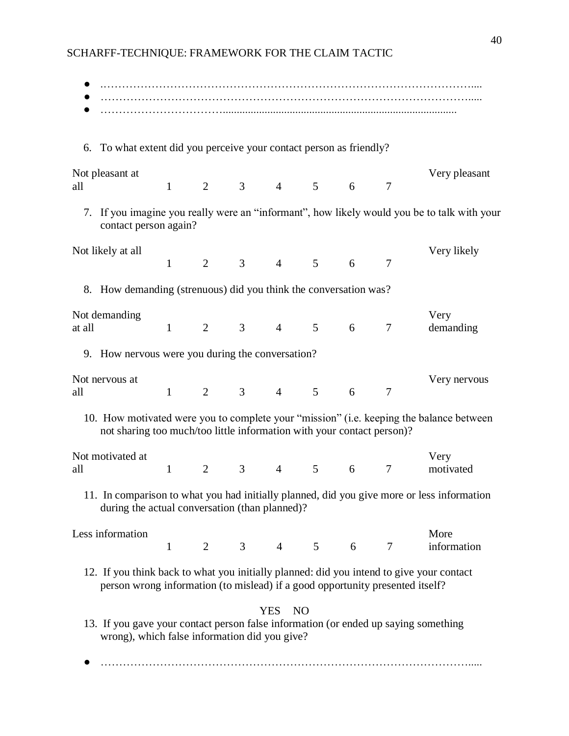| 6. To what extent did you perceive your contact person as friendly?                                                                                                       |              |                |                              |                |                |   |                 |                                                                                             |
|---------------------------------------------------------------------------------------------------------------------------------------------------------------------------|--------------|----------------|------------------------------|----------------|----------------|---|-----------------|---------------------------------------------------------------------------------------------|
| Not pleasant at<br>all                                                                                                                                                    | $\mathbf{1}$ | $\overline{2}$ | 3 <sup>7</sup>               |                | $4 \quad 5$    | 6 | $\tau$          | Very pleasant                                                                               |
| contact person again?                                                                                                                                                     |              |                |                              |                |                |   |                 | 7. If you imagine you really were an "informant", how likely would you be to talk with your |
| Not likely at all                                                                                                                                                         | $\mathbf{1}$ | $\overline{2}$ | 3 <sup>7</sup>               |                | $4\quad 5$     | 6 | 7               | Very likely                                                                                 |
| 8. How demanding (strenuous) did you think the conversation was?                                                                                                          |              |                |                              |                |                |   |                 |                                                                                             |
| Not demanding<br>at all                                                                                                                                                   |              |                | $1 \t 2 \t 3 \t 4 \t 5 \t 6$ |                |                |   | $7\phantom{.0}$ | Very<br>demanding                                                                           |
| 9. How nervous were you during the conversation?                                                                                                                          |              |                |                              |                |                |   |                 |                                                                                             |
| Not nervous at<br>all                                                                                                                                                     |              |                | $1 \t 2 \t 3 \t 4 \t 5 \t 6$ |                |                |   | $7\phantom{.0}$ | Very nervous                                                                                |
| not sharing too much/too little information with your contact person)?                                                                                                    |              |                |                              |                |                |   |                 | 10. How motivated were you to complete your "mission" (i.e. keeping the balance between     |
| Not motivated at<br>all                                                                                                                                                   | $\mathbf{1}$ | $\overline{2}$ | 3 <sup>7</sup>               | $\overline{4}$ | 5 <sup>5</sup> | 6 | $\tau$          | Very<br>motivated                                                                           |
| during the actual conversation (than planned)?                                                                                                                            |              |                |                              |                |                |   |                 | 11. In comparison to what you had initially planned, did you give more or less information  |
| Less information                                                                                                                                                          | $\mathbf{1}$ |                |                              |                |                |   | 2 3 4 5 6 7     | More<br>information                                                                         |
| 12. If you think back to what you initially planned: did you intend to give your contact<br>person wrong information (to mislead) if a good opportunity presented itself? |              |                |                              |                |                |   |                 |                                                                                             |
| 13. If you gave your contact person false information (or ended up saying something<br>wrong), which false information did you give?                                      |              |                |                              | <b>YES</b>     | N <sub>O</sub> |   |                 |                                                                                             |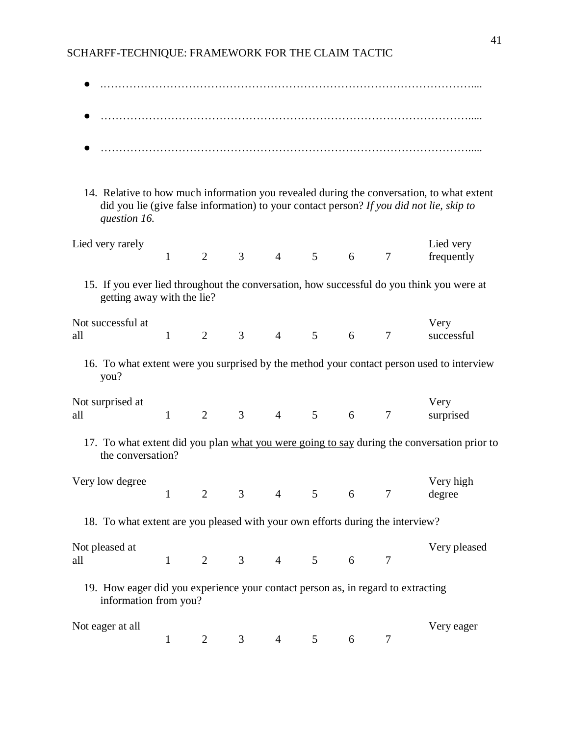| question 16.                                                                                              |              |                |                |                |                                         |   |                | 14. Relative to how much information you revealed during the conversation, to what extent<br>did you lie (give false information) to your contact person? If you did not lie, skip to |
|-----------------------------------------------------------------------------------------------------------|--------------|----------------|----------------|----------------|-----------------------------------------|---|----------------|---------------------------------------------------------------------------------------------------------------------------------------------------------------------------------------|
| Lied very rarely                                                                                          | $\mathbf{1}$ | 2              | $\mathfrak{Z}$ | $\overline{4}$ | $5\overline{)}$                         | 6 | $\overline{7}$ | Lied very<br>frequently                                                                                                                                                               |
| getting away with the lie?                                                                                |              |                |                |                |                                         |   |                | 15. If you ever lied throughout the conversation, how successful do you think you were at                                                                                             |
| Not successful at<br>all                                                                                  | $\mathbf{1}$ | $\overline{2}$ | 3              | $\overline{4}$ | 5                                       | 6 | 7              | Very<br>successful                                                                                                                                                                    |
| you?                                                                                                      |              |                |                |                |                                         |   |                | 16. To what extent were you surprised by the method your contact person used to interview                                                                                             |
| Not surprised at<br>all                                                                                   | $\mathbf{1}$ | 2              | 3 <sup>7</sup> | $\overline{4}$ | 5 <sup>5</sup>                          | 6 | $\tau$         | Very<br>surprised                                                                                                                                                                     |
| the conversation?                                                                                         |              |                |                |                |                                         |   |                | 17. To what extent did you plan what you were going to say during the conversation prior to                                                                                           |
| Very low degree                                                                                           |              | $\overline{2}$ | 3              | $\overline{4}$ | $5\overline{)}$                         | 6 |                | Very high<br>degree                                                                                                                                                                   |
| 18. To what extent are you pleased with your own efforts during the interview?                            |              |                |                |                |                                         |   |                |                                                                                                                                                                                       |
| Not pleased at<br>all                                                                                     | $\mathbf{1}$ |                |                |                | $2 \qquad 3 \qquad 4 \qquad 5 \qquad 6$ |   | $\overline{7}$ | Very pleased                                                                                                                                                                          |
| 19. How eager did you experience your contact person as, in regard to extracting<br>information from you? |              |                |                |                |                                         |   |                |                                                                                                                                                                                       |
| Not eager at all                                                                                          | $\mathbf{1}$ | $\overline{2}$ | 3 <sup>7</sup> | $\overline{4}$ | 5 <sup>5</sup>                          | 6 | $\tau$         | Very eager                                                                                                                                                                            |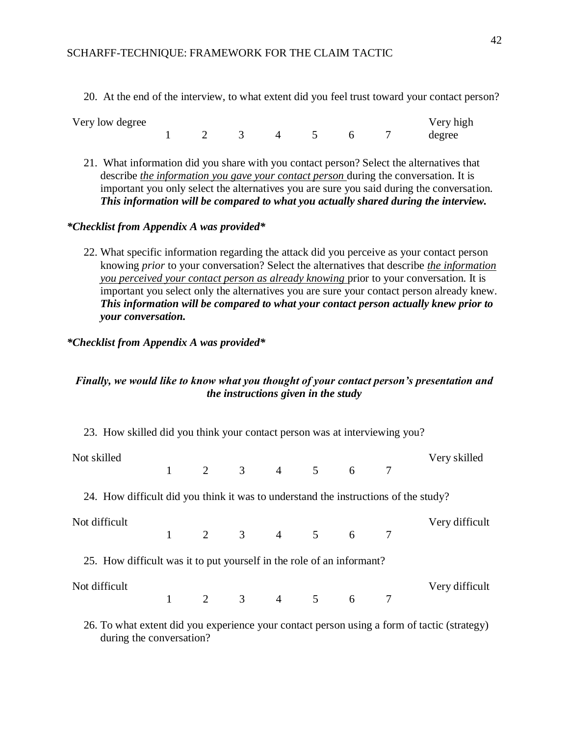20. At the end of the interview, to what extent did you feel trust toward your contact person?

| Very low degree |  |  |  | Very high |
|-----------------|--|--|--|-----------|
|                 |  |  |  | degree    |

21. What information did you share with you contact person? Select the alternatives that describe *the information you gave your contact person* during the conversation. It is important you only select the alternatives you are sure you said during the conversation. *This information will be compared to what you actually shared during the interview.*

# *\*Checklist from Appendix A was provided\**

22. What specific information regarding the attack did you perceive as your contact person knowing *prior* to your conversation? Select the alternatives that describe *the information you perceived your contact person as already knowing* prior to your conversation. It is important you select only the alternatives you are sure your contact person already knew. *This information will be compared to what your contact person actually knew prior to your conversation.*

# *\*Checklist from Appendix A was provided\**

# *Finally, we would like to know what you thought of your contact person's presentation and the instructions given in the study*

| 23. How skilled did you think your contact person was at interviewing you?                  |  |  |  |  |  |                             |                |
|---------------------------------------------------------------------------------------------|--|--|--|--|--|-----------------------------|----------------|
| Not skilled                                                                                 |  |  |  |  |  | $1 \t2 \t3 \t4 \t5 \t6 \t7$ | Very skilled   |
| 24. How difficult did you think it was to understand the instructions of the study?         |  |  |  |  |  |                             |                |
| Not difficult                                                                               |  |  |  |  |  | $1 \t2 \t3 \t4 \t5 \t6 \t7$ | Very difficult |
| 25. How difficult was it to put yourself in the role of an informant?                       |  |  |  |  |  |                             |                |
| Not difficult                                                                               |  |  |  |  |  | $1 \t2 \t3 \t4 \t5 \t6 \t7$ | Very difficult |
| 26. To what extent did you experience your contact person using a form of tactic (strategy) |  |  |  |  |  |                             |                |

26. To what extent did you experience your contact person using a form of tactic (strategy) during the conversation?